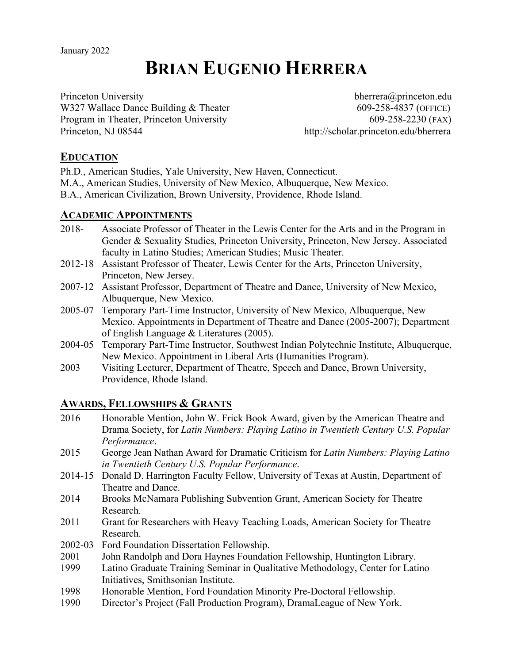# **BRIAN EUGENIO HERRERA**

Princeton University bherrera@princeton.edu W327 Wallace Dance Building & Theater 609-258-4837 (OFFICE) Program in Theater, Princeton University 609-258-2230 (FAX) Princeton, NJ 08544 http://scholar.princeton.edu/bherrera

# **EDUCATION**

Ph.D., American Studies, Yale University, New Haven, Connecticut.

- M.A., American Studies, University of New Mexico, Albuquerque, New Mexico.
- B.A., American Civilization, Brown University, Providence, Rhode Island.

# **ACADEMIC APPOINTMENTS**

- 2018- Associate Professor of Theater in the Lewis Center for the Arts and in the Program in Gender & Sexuality Studies, Princeton University, Princeton, New Jersey. Associated faculty in Latino Studies; American Studies; Music Theater.
- 2012-18 Assistant Professor of Theater, Lewis Center for the Arts, Princeton University, Princeton, New Jersey.
- 2007-12 Assistant Professor, Department of Theatre and Dance, University of New Mexico, Albuquerque, New Mexico.
- 2005-07 Temporary Part-Time Instructor, University of New Mexico, Albuquerque, New Mexico. Appointments in Department of Theatre and Dance (2005-2007); Department of English Language & Literatures (2005).
- 2004-05 Temporary Part-Time Instructor, Southwest Indian Polytechnic Institute, Albuquerque, New Mexico. Appointment in Liberal Arts (Humanities Program).
- 2003 Visiting Lecturer, Department of Theatre, Speech and Dance, Brown University, Providence, Rhode Island.

# **AWARDS, FELLOWSHIPS & GRANTS**

- 2016 Honorable Mention, John W. Frick Book Award, given by the American Theatre and Drama Society, for *Latin Numbers: Playing Latino in Twentieth Century U.S. Popular Performance*.
- 2015 George Jean Nathan Award for Dramatic Criticism for *Latin Numbers: Playing Latino in Twentieth Century U.S. Popular Performance*.
- 2014-15 Donald D. Harrington Faculty Fellow, University of Texas at Austin, Department of Theatre and Dance.
- 2014 Brooks McNamara Publishing Subvention Grant, American Society for Theatre Research.
- 2011 Grant for Researchers with Heavy Teaching Loads, American Society for Theatre Research.
- 2002-03 Ford Foundation Dissertation Fellowship.
- 2001 John Randolph and Dora Haynes Foundation Fellowship, Huntington Library.
- 1999 Latino Graduate Training Seminar in Qualitative Methodology, Center for Latino Initiatives, Smithsonian Institute.
- 1998 Honorable Mention, Ford Foundation Minority Pre-Doctoral Fellowship.
- 1990 Director's Project (Fall Production Program), DramaLeague of New York.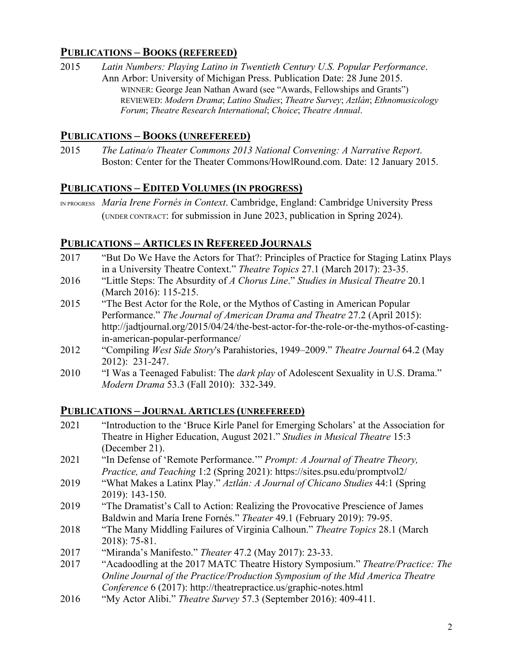# **PUBLICATIONS – BOOKS (REFEREED)**

2015 *Latin Numbers: Playing Latino in Twentieth Century U.S. Popular Performance*. Ann Arbor: University of Michigan Press. Publication Date: 28 June 2015. WINNER: George Jean Nathan Award (see "Awards, Fellowships and Grants") REVIEWED: *Modern Drama*; *Latino Studies*; *Theatre Survey*; *Aztlán*; *Ethnomusicology Forum*; *Theatre Research International*; *Choice*; *Theatre Annual*.

# **PUBLICATIONS – BOOKS (UNREFEREED)**

2015 *The Latina/o Theater Commons 2013 National Convening: A Narrative Report*. Boston: Center for the Theater Commons/HowlRound.com. Date: 12 January 2015.

# **PUBLICATIONS – EDITED VOLUMES (IN PROGRESS)**

IN PROGRESS *María Irene Fornés in Context*. Cambridge, England: Cambridge University Press (UNDER CONTRACT: for submission in June 2023, publication in Spring 2024).

# **PUBLICATIONS – ARTICLES IN REFEREED JOURNALS**

- 2017 "But Do We Have the Actors for That?: Principles of Practice for Staging Latinx Plays in a University Theatre Context." *Theatre Topics* 27.1 (March 2017): 23-35.
- 2016 "Little Steps: The Absurdity of *A Chorus Line*." *Studies in Musical Theatre* 20.1 (March 2016): 115-215.
- 2015 "The Best Actor for the Role, or the Mythos of Casting in American Popular Performance." *The Journal of American Drama and Theatre* 27.2 (April 2015): http://jadtjournal.org/2015/04/24/the-best-actor-for-the-role-or-the-mythos-of-castingin-american-popular-performance/
- 2012 "Compiling *West Side Story*'s Parahistories, 1949–2009." *Theatre Journal* 64.2 (May 2012): 231-247.
- 2010 "I Was a Teenaged Fabulist: The *dark play* of Adolescent Sexuality in U.S. Drama." *Modern Drama* 53.3 (Fall 2010): 332-349.

# **PUBLICATIONS – JOURNAL ARTICLES (UNREFEREED)**

- 2021 "Introduction to the 'Bruce Kirle Panel for Emerging Scholars' at the Association for Theatre in Higher Education, August 2021." *Studies in Musical Theatre* 15:3 (December 21).
- 2021 "In Defense of 'Remote Performance.'" *Prompt: A Journal of Theatre Theory, Practice, and Teaching* 1:2 (Spring 2021): https://sites.psu.edu/promptvol2/
- 2019 "What Makes a Latinx Play." *Aztlán: A Journal of Chicano Studies* 44:1 (Spring 2019): 143-150.
- 2019 "The Dramatist's Call to Action: Realizing the Provocative Prescience of James Baldwin and María Irene Fornés." *Theater* 49.1 (February 2019): 79-95.
- 2018 "The Many Middling Failures of Virginia Calhoun." *Theatre Topics* 28.1 (March 2018): 75-81.
- 2017 "Miranda's Manifesto." *Theater* 47.2 (May 2017): 23-33.
- 2017 "Acadoodling at the 2017 MATC Theatre History Symposium." *Theatre/Practice: The Online Journal of the Practice/Production Symposium of the Mid America Theatre Conference* 6 (2017): http://theatrepractice.us/graphic-notes.html
- 2016 "My Actor Alibi." *Theatre Survey* 57.3 (September 2016): 409-411.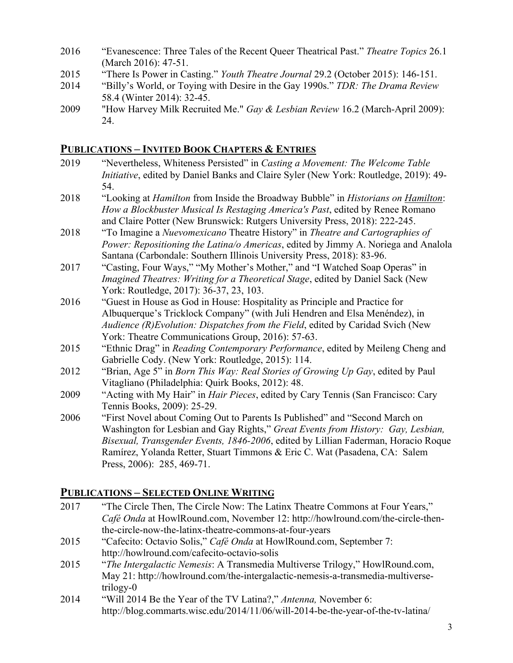- 2016 "Evanescence: Three Tales of the Recent Queer Theatrical Past." *Theatre Topics* 26.1 (March 2016): 47-51.
- 2015 "There Is Power in Casting." *Youth Theatre Journal* 29.2 (October 2015): 146-151.
- 2014 "Billy's World, or Toying with Desire in the Gay 1990s." *TDR: The Drama Review* 58.4 (Winter 2014): 32-45.
- 2009 "How Harvey Milk Recruited Me." *Gay & Lesbian Review* 16.2 (March-April 2009): 24.

# **PUBLICATIONS – INVITED BOOK CHAPTERS & ENTRIES**

- 2019 "Nevertheless, Whiteness Persisted" in *Casting a Movement: The Welcome Table Initiative*, edited by Daniel Banks and Claire Syler (New York: Routledge, 2019): 49- 54.
- 2018 "Looking at *Hamilton* from Inside the Broadway Bubble" in *Historians on Hamilton*: *How a Blockbuster Musical Is Restaging America's Past*, edited by Renee Romano and Claire Potter (New Brunswick: Rutgers University Press, 2018): 222-245.
- 2018 "To Imagine a *Nuevomexicano* Theatre History" in *Theatre and Cartographies of Power: Repositioning the Latina/o Americas*, edited by Jimmy A. Noriega and Analola Santana (Carbondale: Southern Illinois University Press, 2018): 83-96.
- 2017 "Casting, Four Ways," "My Mother's Mother," and "I Watched Soap Operas" in *Imagined Theatres: Writing for a Theoretical Stage*, edited by Daniel Sack (New York: Routledge, 2017): 36-37, 23, 103.
- 2016 "Guest in House as God in House: Hospitality as Principle and Practice for Albuquerque's Tricklock Company" (with Juli Hendren and Elsa Menéndez), in *Audience (R)Evolution: Dispatches from the Field*, edited by Caridad Svich (New York: Theatre Communications Group, 2016): 57-63.
- 2015 "Ethnic Drag" in *Reading Contemporary Performance*, edited by Meileng Cheng and Gabrielle Cody. (New York: Routledge, 2015): 114.
- 2012 "Brian, Age 5" in *Born This Way: Real Stories of Growing Up Gay*, edited by Paul Vitagliano (Philadelphia: Quirk Books, 2012): 48.
- 2009 "Acting with My Hair" in *Hair Pieces*, edited by Cary Tennis (San Francisco: Cary Tennis Books, 2009): 25-29.
- 2006 "First Novel about Coming Out to Parents Is Published" and "Second March on Washington for Lesbian and Gay Rights," *Great Events from History: Gay, Lesbian, Bisexual, Transgender Events, 1846-2006*, edited by Lillian Faderman, Horacio Roque Ramírez, Yolanda Retter, Stuart Timmons & Eric C. Wat (Pasadena, CA: Salem Press, 2006): 285, 469-71.

# **PUBLICATIONS – SELECTED ONLINE WRITING**

2017 "The Circle Then, The Circle Now: The Latinx Theatre Commons at Four Years," *Café Onda* at HowlRound.com, November 12: http://howlround.com/the-circle-thenthe-circle-now-the-latinx-theatre-commons-at-four-years 2015 "Cafecito: Octavio Solis," *Café Onda* at HowlRound.com, September 7: http://howlround.com/cafecito-octavio-solis 2015 "*The Intergalactic Nemesis*: A Transmedia Multiverse Trilogy," HowlRound.com, May 21: http://howlround.com/the-intergalactic-nemesis-a-transmedia-multiversetrilogy-0 2014 "Will 2014 Be the Year of the TV Latina?," *Antenna,* November 6: http://blog.commarts.wisc.edu/2014/11/06/will-2014-be-the-year-of-the-tv-latina/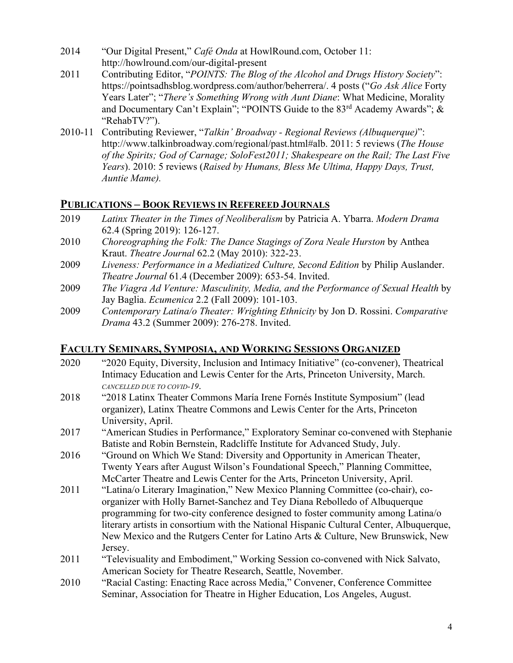- 2014 "Our Digital Present," *Café Onda* at HowlRound.com, October 11: http://howlround.com/our-digital-present
- 2011 Contributing Editor, "*POINTS: The Blog of the Alcohol and Drugs History Society*": https://pointsadhsblog.wordpress.com/author/beherrera/. 4 posts ("*Go Ask Alice* Forty Years Later"; "*There's Something Wrong with Aunt Diane*: What Medicine, Morality and Documentary Can't Explain"; "POINTS Guide to the 83rd Academy Awards"; & "RehabTV?").
- 2010-11 Contributing Reviewer, "*Talkin' Broadway - Regional Reviews (Albuquerque)*": http://www.talkinbroadway.com/regional/past.html#alb. 2011: 5 reviews (*The House of the Spirits; God of Carnage; SoloFest2011; Shakespeare on the Rail; The Last Five Years*). 2010: 5 reviews (*Raised by Humans, Bless Me Ultima, Happy Days, Trust, Auntie Mame).*

# **PUBLICATIONS – BOOK REVIEWS IN REFEREED JOURNALS**

- 2019 *Latinx Theater in the Times of Neoliberalism* by Patricia A. Ybarra. *Modern Drama* 62.4 (Spring 2019): 126-127.
- 2010 *Choreographing the Folk: The Dance Stagings of Zora Neale Hurston* by Anthea Kraut. *Theatre Journal* 62.2 (May 2010): 322-23.
- 2009 *Liveness: Performance in a Mediatized Culture, Second Edition* by Philip Auslander. *Theatre Journal* 61.4 (December 2009): 653-54. Invited.
- 2009 *The Viagra Ad Venture: Masculinity, Media, and the Performance of Sexual Health* by Jay Baglia. *Ecumenica* 2.2 (Fall 2009): 101-103.
- 2009 *Contemporary Latina/o Theater: Wrighting Ethnicity* by Jon D. Rossini. *Comparative Drama* 43.2 (Summer 2009): 276-278. Invited.

# **FACULTY SEMINARS, SYMPOSIA, AND WORKING SESSIONS ORGANIZED**

- 2020 "2020 Equity, Diversity, Inclusion and Intimacy Initiative" (co-convener), Theatrical Intimacy Education and Lewis Center for the Arts, Princeton University, March. *CANCELLED DUE TO COVID-19*.
- 2018 "2018 Latinx Theater Commons María Irene Fornés Institute Symposium" (lead organizer), Latinx Theatre Commons and Lewis Center for the Arts, Princeton University, April.
- 2017 "American Studies in Performance," Exploratory Seminar co-convened with Stephanie Batiste and Robin Bernstein, Radcliffe Institute for Advanced Study, July.
- 2016 "Ground on Which We Stand: Diversity and Opportunity in American Theater, Twenty Years after August Wilson's Foundational Speech," Planning Committee, McCarter Theatre and Lewis Center for the Arts, Princeton University, April.
- 2011 "Latina/o Literary Imagination," New Mexico Planning Committee (co-chair), coorganizer with Holly Barnet-Sanchez and Tey Diana Rebolledo of Albuquerque programming for two-city conference designed to foster community among Latina/o literary artists in consortium with the National Hispanic Cultural Center, Albuquerque, New Mexico and the Rutgers Center for Latino Arts & Culture, New Brunswick, New Jersey.
- 2011 "Televisuality and Embodiment," Working Session co-convened with Nick Salvato, American Society for Theatre Research, Seattle, November.
- 2010 "Racial Casting: Enacting Race across Media," Convener, Conference Committee Seminar, Association for Theatre in Higher Education, Los Angeles, August.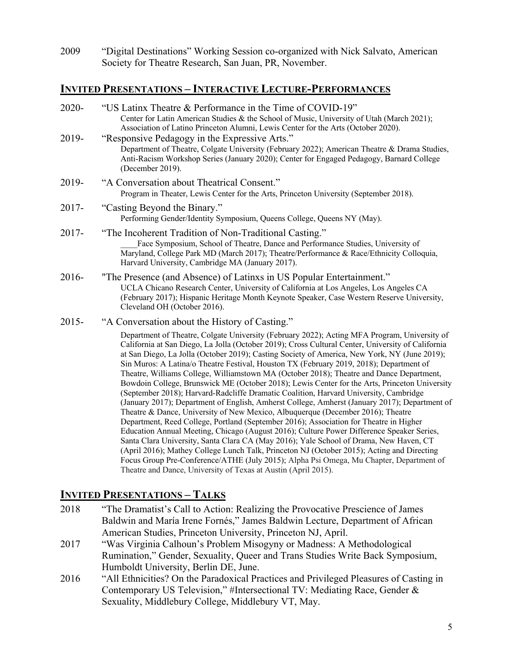2009 "Digital Destinations" Working Session co-organized with Nick Salvato, American Society for Theatre Research, San Juan, PR, November.

### **INVITED PRESENTATIONS – INTERACTIVE LECTURE-PERFORMANCES**

| "US Latinx Theatre & Performance in the Time of COVID-19"<br>Center for Latin American Studies & the School of Music, University of Utah (March 2021);<br>Association of Latino Princeton Alumni, Lewis Center for the Arts (October 2020).                                                                                                                                                                                                                                                                                                                                                                                                                                                                                                                                                                                                                                                                                                                                                                                                                                                                                                                                                                                                                                                                                                                                                                        |  |
|--------------------------------------------------------------------------------------------------------------------------------------------------------------------------------------------------------------------------------------------------------------------------------------------------------------------------------------------------------------------------------------------------------------------------------------------------------------------------------------------------------------------------------------------------------------------------------------------------------------------------------------------------------------------------------------------------------------------------------------------------------------------------------------------------------------------------------------------------------------------------------------------------------------------------------------------------------------------------------------------------------------------------------------------------------------------------------------------------------------------------------------------------------------------------------------------------------------------------------------------------------------------------------------------------------------------------------------------------------------------------------------------------------------------|--|
| "Responsive Pedagogy in the Expressive Arts."<br>Department of Theatre, Colgate University (February 2022); American Theatre & Drama Studies,<br>Anti-Racism Workshop Series (January 2020); Center for Engaged Pedagogy, Barnard College<br>(December 2019).                                                                                                                                                                                                                                                                                                                                                                                                                                                                                                                                                                                                                                                                                                                                                                                                                                                                                                                                                                                                                                                                                                                                                      |  |
| "A Conversation about Theatrical Consent."<br>Program in Theater, Lewis Center for the Arts, Princeton University (September 2018).                                                                                                                                                                                                                                                                                                                                                                                                                                                                                                                                                                                                                                                                                                                                                                                                                                                                                                                                                                                                                                                                                                                                                                                                                                                                                |  |
| "Casting Beyond the Binary."<br>Performing Gender/Identity Symposium, Queens College, Queens NY (May).                                                                                                                                                                                                                                                                                                                                                                                                                                                                                                                                                                                                                                                                                                                                                                                                                                                                                                                                                                                                                                                                                                                                                                                                                                                                                                             |  |
| "The Incoherent Tradition of Non-Traditional Casting."<br>Face Symposium, School of Theatre, Dance and Performance Studies, University of<br>Maryland, College Park MD (March 2017); Theatre/Performance & Race/Ethnicity Colloquia,<br>Harvard University, Cambridge MA (January 2017).                                                                                                                                                                                                                                                                                                                                                                                                                                                                                                                                                                                                                                                                                                                                                                                                                                                                                                                                                                                                                                                                                                                           |  |
| "The Presence (and Absence) of Latinxs in US Popular Entertainment."<br>UCLA Chicano Research Center, University of California at Los Angeles, Los Angeles CA<br>(February 2017); Hispanic Heritage Month Keynote Speaker, Case Western Reserve University,<br>Cleveland OH (October 2016).                                                                                                                                                                                                                                                                                                                                                                                                                                                                                                                                                                                                                                                                                                                                                                                                                                                                                                                                                                                                                                                                                                                        |  |
| "A Conversation about the History of Casting."                                                                                                                                                                                                                                                                                                                                                                                                                                                                                                                                                                                                                                                                                                                                                                                                                                                                                                                                                                                                                                                                                                                                                                                                                                                                                                                                                                     |  |
| Department of Theatre, Colgate University (February 2022); Acting MFA Program, University of<br>California at San Diego, La Jolla (October 2019); Cross Cultural Center, University of California<br>at San Diego, La Jolla (October 2019); Casting Society of America, New York, NY (June 2019);<br>Sin Muros: A Latina/o Theatre Festival, Houston TX (February 2019, 2018); Department of<br>Theatre, Williams College, Williamstown MA (October 2018); Theatre and Dance Department,<br>Bowdoin College, Brunswick ME (October 2018); Lewis Center for the Arts, Princeton University<br>(September 2018); Harvard-Radcliffe Dramatic Coalition, Harvard University, Cambridge<br>(January 2017); Department of English, Amherst College, Amherst (January 2017); Department of<br>Theatre & Dance, University of New Mexico, Albuquerque (December 2016); Theatre<br>Department, Reed College, Portland (September 2016); Association for Theatre in Higher<br>Education Annual Meeting, Chicago (August 2016); Culture Power Difference Speaker Series,<br>Santa Clara University, Santa Clara CA (May 2016); Yale School of Drama, New Haven, CT<br>(April 2016); Mathey College Lunch Talk, Princeton NJ (October 2015); Acting and Directing<br>Focus Group Pre-Conference/ATHE (July 2015); Alpha Psi Omega, Mu Chapter, Department of<br>Theatre and Dance, University of Texas at Austin (April 2015). |  |
|                                                                                                                                                                                                                                                                                                                                                                                                                                                                                                                                                                                                                                                                                                                                                                                                                                                                                                                                                                                                                                                                                                                                                                                                                                                                                                                                                                                                                    |  |

# **INVITED PRESENTATIONS – TALKS**

- 2018 "The Dramatist's Call to Action: Realizing the Provocative Prescience of James Baldwin and María Irene Fornés," James Baldwin Lecture, Department of African American Studies, Princeton University, Princeton NJ, April.
- 2017 "Was Virginia Calhoun's Problem Misogyny or Madness: A Methodological Rumination," Gender, Sexuality, Queer and Trans Studies Write Back Symposium, Humboldt University, Berlin DE, June.
- 2016 "All Ethnicities? On the Paradoxical Practices and Privileged Pleasures of Casting in Contemporary US Television," #Intersectional TV: Mediating Race, Gender & Sexuality, Middlebury College, Middlebury VT, May.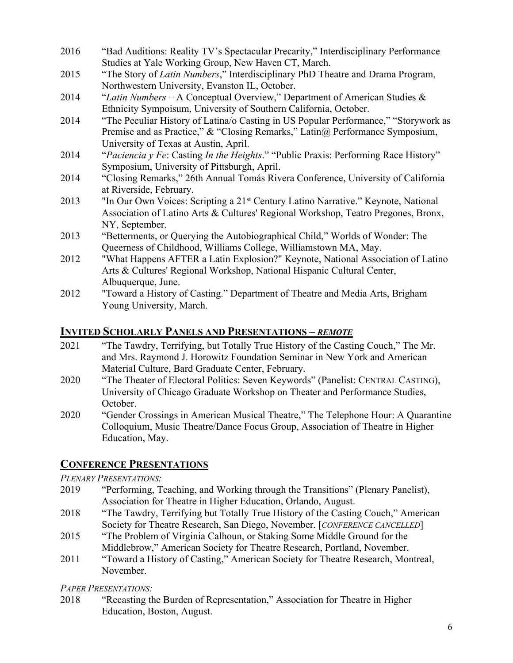- 2016 "Bad Auditions: Reality TV's Spectacular Precarity," Interdisciplinary Performance Studies at Yale Working Group, New Haven CT, March.
- 2015 "The Story of *Latin Numbers*," Interdisciplinary PhD Theatre and Drama Program, Northwestern University, Evanston IL, October.
- 2014 "*Latin Numbers* A Conceptual Overview," Department of American Studies & Ethnicity Sympoisum, University of Southern California, October.
- 2014 "The Peculiar History of Latina/o Casting in US Popular Performance," "Storywork as Premise and as Practice," & "Closing Remarks," Latin@ Performance Symposium, University of Texas at Austin, April.
- 2014 "*Paciencia y Fe*: Casting *In the Heights*." "Public Praxis: Performing Race History" Symposium, University of Pittsburgh, April.
- 2014 "Closing Remarks," 26th Annual Tomás Rivera Conference, University of California at Riverside, February.
- 2013 "In Our Own Voices: Scripting a 21<sup>st</sup> Century Latino Narrative." Keynote, National Association of Latino Arts & Cultures' Regional Workshop, Teatro Pregones, Bronx, NY, September.
- 2013 "Betterments, or Querying the Autobiographical Child," Worlds of Wonder: The Queerness of Childhood, Williams College, Williamstown MA, May.
- 2012 "What Happens AFTER a Latin Explosion?" Keynote, National Association of Latino Arts & Cultures' Regional Workshop, National Hispanic Cultural Center, Albuquerque, June.
- 2012 "Toward a History of Casting." Department of Theatre and Media Arts, Brigham Young University, March.

# **INVITED SCHOLARLY PANELS AND PRESENTATIONS –** *REMOTE*

- 2021 "The Tawdry, Terrifying, but Totally True History of the Casting Couch," The Mr. and Mrs. Raymond J. Horowitz Foundation Seminar in New York and American Material Culture, Bard Graduate Center, February.
- 2020 "The Theater of Electoral Politics: Seven Keywords" (Panelist: CENTRAL CASTING), University of Chicago Graduate Workshop on Theater and Performance Studies, October.
- 2020 "Gender Crossings in American Musical Theatre," The Telephone Hour: A Quarantine Colloquium, Music Theatre/Dance Focus Group, Association of Theatre in Higher Education, May.

# **CONFERENCE PRESENTATIONS**

# *PLENARY PRESENTATIONS:*

- 2019 "Performing, Teaching, and Working through the Transitions" (Plenary Panelist), Association for Theatre in Higher Education, Orlando, August.
- 2018 "The Tawdry, Terrifying but Totally True History of the Casting Couch," American Society for Theatre Research, San Diego, November. [*CONFERENCE CANCELLED*]
- 2015 "The Problem of Virginia Calhoun, or Staking Some Middle Ground for the Middlebrow," American Society for Theatre Research, Portland, November.
- 2011 "Toward a History of Casting," American Society for Theatre Research, Montreal, November.

*PAPER PRESENTATIONS:*

2018 "Recasting the Burden of Representation," Association for Theatre in Higher Education, Boston, August.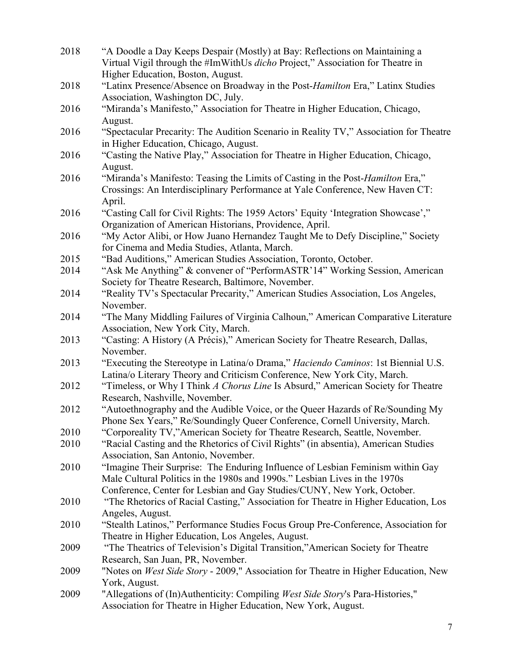| 2018 | "A Doodle a Day Keeps Despair (Mostly) at Bay: Reflections on Maintaining a<br>Virtual Vigil through the #ImWithUs dicho Project," Association for Theatre in |
|------|---------------------------------------------------------------------------------------------------------------------------------------------------------------|
|      | Higher Education, Boston, August.                                                                                                                             |
| 2018 | "Latinx Presence/Absence on Broadway in the Post-Hamilton Era," Latinx Studies                                                                                |
|      | Association, Washington DC, July.                                                                                                                             |
| 2016 | "Miranda's Manifesto," Association for Theatre in Higher Education, Chicago,                                                                                  |
|      | August.                                                                                                                                                       |
|      |                                                                                                                                                               |
| 2016 | "Spectacular Precarity: The Audition Scenario in Reality TV," Association for Theatre                                                                         |
|      | in Higher Education, Chicago, August.                                                                                                                         |
| 2016 | "Casting the Native Play," Association for Theatre in Higher Education, Chicago,                                                                              |
|      | August.                                                                                                                                                       |
| 2016 | "Miranda's Manifesto: Teasing the Limits of Casting in the Post-Hamilton Era,"                                                                                |
|      | Crossings: An Interdisciplinary Performance at Yale Conference, New Haven CT:                                                                                 |
|      | April.                                                                                                                                                        |
| 2016 | "Casting Call for Civil Rights: The 1959 Actors' Equity 'Integration Showcase',"                                                                              |
|      | Organization of American Historians, Providence, April.                                                                                                       |
| 2016 | "My Actor Alibi, or How Juano Hernandez Taught Me to Defy Discipline," Society                                                                                |
|      | for Cinema and Media Studies, Atlanta, March.                                                                                                                 |
| 2015 | "Bad Auditions," American Studies Association, Toronto, October.                                                                                              |
| 2014 | "Ask Me Anything" & convener of "PerformASTR'14" Working Session, American                                                                                    |
|      | Society for Theatre Research, Baltimore, November.                                                                                                            |
| 2014 | "Reality TV's Spectacular Precarity," American Studies Association, Los Angeles,                                                                              |
|      | November.                                                                                                                                                     |
| 2014 | "The Many Middling Failures of Virginia Calhoun," American Comparative Literature                                                                             |
|      | Association, New York City, March.                                                                                                                            |
| 2013 | "Casting: A History (A Précis)," American Society for Theatre Research, Dallas,                                                                               |
|      | November.                                                                                                                                                     |
| 2013 | "Executing the Stereotype in Latina/o Drama," Haciendo Caminos: 1st Biennial U.S.                                                                             |
|      | Latina/o Literary Theory and Criticism Conference, New York City, March.                                                                                      |
| 2012 | "Timeless, or Why I Think A Chorus Line Is Absurd," American Society for Theatre                                                                              |
|      | Research, Nashville, November.                                                                                                                                |
| 2012 | "Autoethnography and the Audible Voice, or the Queer Hazards of Re/Sounding My                                                                                |
|      | Phone Sex Years," Re/Soundingly Queer Conference, Cornell University, March.                                                                                  |
| 2010 | "Corporeality TV,"American Society for Theatre Research, Seattle, November.                                                                                   |
| 2010 | "Racial Casting and the Rhetorics of Civil Rights" (in absentia), American Studies                                                                            |
|      | Association, San Antonio, November.                                                                                                                           |
| 2010 | "Imagine Their Surprise: The Enduring Influence of Lesbian Feminism within Gay                                                                                |
|      | Male Cultural Politics in the 1980s and 1990s." Lesbian Lives in the 1970s                                                                                    |
|      | Conference, Center for Lesbian and Gay Studies/CUNY, New York, October.                                                                                       |
| 2010 | "The Rhetorics of Racial Casting," Association for Theatre in Higher Education, Los                                                                           |
|      | Angeles, August.                                                                                                                                              |
| 2010 | "Stealth Latinos," Performance Studies Focus Group Pre-Conference, Association for                                                                            |
|      | Theatre in Higher Education, Los Angeles, August.                                                                                                             |
| 2009 | "The Theatrics of Television's Digital Transition,"American Society for Theatre                                                                               |
|      | Research, San Juan, PR, November.                                                                                                                             |
| 2009 | "Notes on West Side Story - 2009," Association for Theatre in Higher Education, New                                                                           |
|      | York, August.                                                                                                                                                 |
| 2009 | "Allegations of (In)Authenticity: Compiling West Side Story's Para-Histories,"                                                                                |
|      | Association for Theatre in Higher Education, New York, August.                                                                                                |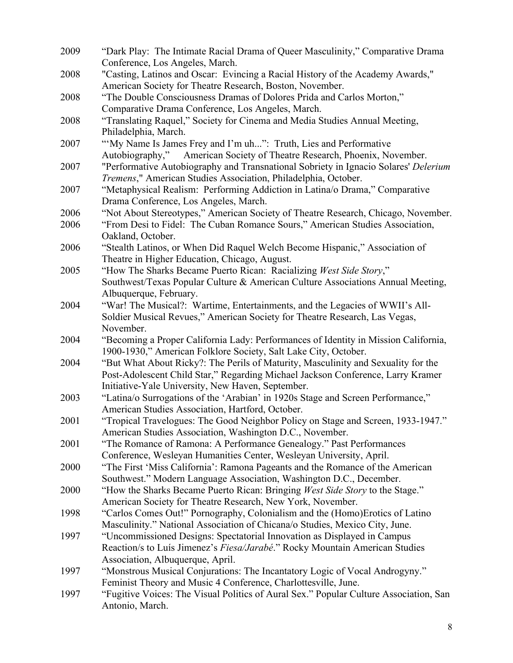| 2009 | "Dark Play: The Intimate Racial Drama of Queer Masculinity," Comparative Drama        |
|------|---------------------------------------------------------------------------------------|
|      | Conference, Los Angeles, March.                                                       |
| 2008 | "Casting, Latinos and Oscar: Evincing a Racial History of the Academy Awards,"        |
|      | American Society for Theatre Research, Boston, November.                              |
| 2008 | "The Double Consciousness Dramas of Dolores Prida and Carlos Morton,"                 |
|      | Comparative Drama Conference, Los Angeles, March.                                     |
| 2008 | "Translating Raquel," Society for Cinema and Media Studies Annual Meeting,            |
|      | Philadelphia, March.                                                                  |
| 2007 | "My Name Is James Frey and I'm uh": Truth, Lies and Performative                      |
|      | American Society of Theatre Research, Phoenix, November.<br>Autobiography,"           |
| 2007 | "Performative Autobiography and Transnational Sobriety in Ignacio Solares' Delerium   |
|      | Tremens," American Studies Association, Philadelphia, October.                        |
| 2007 | "Metaphysical Realism: Performing Addiction in Latina/o Drama," Comparative           |
|      | Drama Conference, Los Angeles, March.                                                 |
| 2006 | "Not About Stereotypes," American Society of Theatre Research, Chicago, November.     |
| 2006 | "From Desi to Fidel: The Cuban Romance Sours," American Studies Association,          |
|      | Oakland, October.                                                                     |
| 2006 | "Stealth Latinos, or When Did Raquel Welch Become Hispanic," Association of           |
|      | Theatre in Higher Education, Chicago, August.                                         |
| 2005 | "How The Sharks Became Puerto Rican: Racializing West Side Story,"                    |
|      | Southwest/Texas Popular Culture & American Culture Associations Annual Meeting,       |
|      | Albuquerque, February.                                                                |
| 2004 | "War! The Musical?: Wartime, Entertainments, and the Legacies of WWII's All-          |
|      | Soldier Musical Revues," American Society for Theatre Research, Las Vegas,            |
|      | November.                                                                             |
| 2004 | "Becoming a Proper California Lady: Performances of Identity in Mission California,   |
|      | 1900-1930," American Folklore Society, Salt Lake City, October.                       |
| 2004 | "But What About Ricky?: The Perils of Maturity, Masculinity and Sexuality for the     |
|      | Post-Adolescent Child Star," Regarding Michael Jackson Conference, Larry Kramer       |
|      | Initiative-Yale University, New Haven, September.                                     |
| 2003 | "Latina/o Surrogations of the 'Arabian' in 1920s Stage and Screen Performance,"       |
|      | American Studies Association, Hartford, October.                                      |
| 2001 | "Tropical Travelogues: The Good Neighbor Policy on Stage and Screen, 1933-1947."      |
|      | American Studies Association, Washington D.C., November.                              |
| 2001 | "The Romance of Ramona: A Performance Genealogy." Past Performances                   |
|      | Conference, Wesleyan Humanities Center, Wesleyan University, April.                   |
| 2000 | "The First 'Miss California': Ramona Pageants and the Romance of the American         |
|      | Southwest." Modern Language Association, Washington D.C., December.                   |
| 2000 | "How the Sharks Became Puerto Rican: Bringing West Side Story to the Stage."          |
|      | American Society for Theatre Research, New York, November.                            |
| 1998 | "Carlos Comes Out!" Pornography, Colonialism and the (Homo) Erotics of Latino         |
|      | Masculinity." National Association of Chicana/o Studies, Mexico City, June.           |
| 1997 | "Uncommissioned Designs: Spectatorial Innovation as Displayed in Campus               |
|      | Reaction/s to Luís Jimenez's Fiesa/Jarabé." Rocky Mountain American Studies           |
|      | Association, Albuquerque, April.                                                      |
| 1997 | "Monstrous Musical Conjurations: The Incantatory Logic of Vocal Androgyny."           |
|      | Feminist Theory and Music 4 Conference, Charlottesville, June.                        |
| 1997 | "Fugitive Voices: The Visual Politics of Aural Sex." Popular Culture Association, San |
|      | Antonio, March.                                                                       |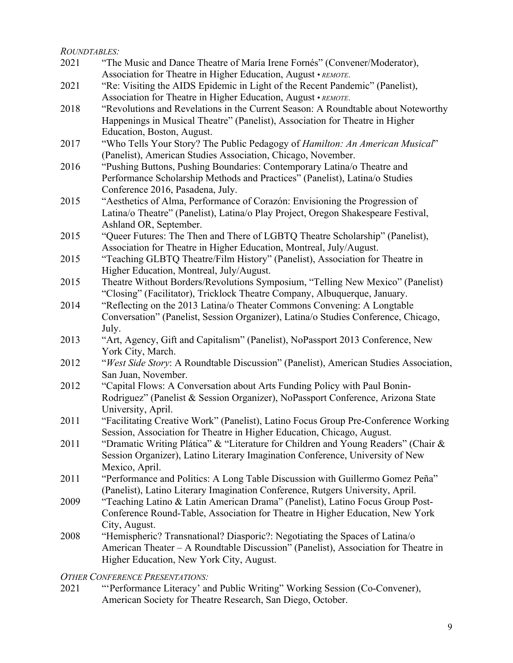### *ROUNDTABLES:*

| 2021 | "The Music and Dance Theatre of María Irene Fornés" (Convener/Moderator),                                                                                         |
|------|-------------------------------------------------------------------------------------------------------------------------------------------------------------------|
|      | Association for Theatre in Higher Education, August • REMOTE.                                                                                                     |
| 2021 | "Re: Visiting the AIDS Epidemic in Light of the Recent Pandemic" (Panelist),                                                                                      |
|      | Association for Theatre in Higher Education, August • REMOTE.                                                                                                     |
| 2018 | "Revolutions and Revelations in the Current Season: A Roundtable about Noteworthy<br>Happenings in Musical Theatre" (Panelist), Association for Theatre in Higher |
|      | Education, Boston, August.                                                                                                                                        |
|      |                                                                                                                                                                   |
| 2017 | "Who Tells Your Story? The Public Pedagogy of <i>Hamilton: An American Musical</i> "<br>(Panelist), American Studies Association, Chicago, November.              |
| 2016 | "Pushing Buttons, Pushing Boundaries: Contemporary Latina/o Theatre and                                                                                           |
|      | Performance Scholarship Methods and Practices" (Panelist), Latina/o Studies                                                                                       |
|      | Conference 2016, Pasadena, July.                                                                                                                                  |
| 2015 | "Aesthetics of Alma, Performance of Corazón: Envisioning the Progression of                                                                                       |
|      | Latina/o Theatre" (Panelist), Latina/o Play Project, Oregon Shakespeare Festival,                                                                                 |
|      | Ashland OR, September.                                                                                                                                            |
| 2015 | "Queer Futures: The Then and There of LGBTQ Theatre Scholarship" (Panelist),                                                                                      |
|      | Association for Theatre in Higher Education, Montreal, July/August.                                                                                               |
| 2015 | "Teaching GLBTQ Theatre/Film History" (Panelist), Association for Theatre in                                                                                      |
|      | Higher Education, Montreal, July/August.                                                                                                                          |
| 2015 | Theatre Without Borders/Revolutions Symposium, "Telling New Mexico" (Panelist)                                                                                    |
|      | "Closing" (Facilitator), Tricklock Theatre Company, Albuquerque, January.                                                                                         |
| 2014 | "Reflecting on the 2013 Latina/o Theater Commons Convening: A Longtable                                                                                           |
|      | Conversation" (Panelist, Session Organizer), Latina/o Studies Conference, Chicago,                                                                                |
|      | July.                                                                                                                                                             |
| 2013 | "Art, Agency, Gift and Capitalism" (Panelist), NoPassport 2013 Conference, New                                                                                    |
|      | York City, March.                                                                                                                                                 |
| 2012 | "West Side Story: A Roundtable Discussion" (Panelist), American Studies Association,                                                                              |
|      | San Juan, November.                                                                                                                                               |
| 2012 | "Capital Flows: A Conversation about Arts Funding Policy with Paul Bonin-                                                                                         |
|      | Rodriguez" (Panelist & Session Organizer), NoPassport Conference, Arizona State                                                                                   |
|      | University, April.                                                                                                                                                |
| 2011 | "Facilitating Creative Work" (Panelist), Latino Focus Group Pre-Conference Working                                                                                |
|      | Session, Association for Theatre in Higher Education, Chicago, August.                                                                                            |
| 2011 | "Dramatic Writing Plática" & "Literature for Children and Young Readers" (Chair &                                                                                 |
|      | Session Organizer), Latino Literary Imagination Conference, University of New                                                                                     |
|      | Mexico, April.                                                                                                                                                    |
| 2011 | "Performance and Politics: A Long Table Discussion with Guillermo Gomez Peña"                                                                                     |
|      | (Panelist), Latino Literary Imagination Conference, Rutgers University, April.                                                                                    |
| 2009 | "Teaching Latino & Latin American Drama" (Panelist), Latino Focus Group Post-                                                                                     |
|      | Conference Round-Table, Association for Theatre in Higher Education, New York                                                                                     |
|      | City, August.                                                                                                                                                     |
| 2008 | "Hemispheric? Transnational? Diasporic?: Negotiating the Spaces of Latina/o                                                                                       |
|      | American Theater – A Roundtable Discussion" (Panelist), Association for Theatre in                                                                                |
|      | Higher Education, New York City, August.                                                                                                                          |
|      |                                                                                                                                                                   |

# *OTHER CONFERENCE PRESENTATIONS:*<br>2021 *Werformance Literacy' an*

"'Performance Literacy' and Public Writing" Working Session (Co-Convener), American Society for Theatre Research, San Diego, October.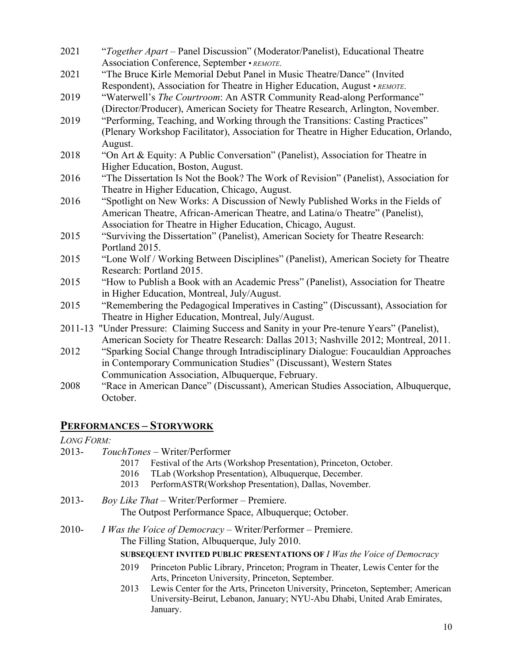| 2021    | "Together Apart - Panel Discussion" (Moderator/Panelist), Educational Theatre         |
|---------|---------------------------------------------------------------------------------------|
|         | Association Conference, September • REMOTE.                                           |
| 2021    | "The Bruce Kirle Memorial Debut Panel in Music Theatre/Dance" (Invited                |
|         | Respondent), Association for Theatre in Higher Education, August • REMOTE.            |
| 2019    | "Waterwell's The Courtroom: An ASTR Community Read-along Performance"                 |
|         | (Director/Producer), American Society for Theatre Research, Arlington, November.      |
| 2019    | "Performing, Teaching, and Working through the Transitions: Casting Practices"        |
|         | (Plenary Workshop Facilitator), Association for Theatre in Higher Education, Orlando, |
|         | August.                                                                               |
| 2018    | "On Art & Equity: A Public Conversation" (Panelist), Association for Theatre in       |
|         | Higher Education, Boston, August.                                                     |
| 2016    | "The Dissertation Is Not the Book? The Work of Revision" (Panelist), Association for  |
|         | Theatre in Higher Education, Chicago, August.                                         |
| 2016    | "Spotlight on New Works: A Discussion of Newly Published Works in the Fields of       |
|         | American Theatre, African-American Theatre, and Latina/o Theatre" (Panelist),         |
|         | Association for Theatre in Higher Education, Chicago, August.                         |
| 2015    | "Surviving the Dissertation" (Panelist), American Society for Theatre Research:       |
|         | Portland 2015.                                                                        |
| 2015    | "Lone Wolf / Working Between Disciplines" (Panelist), American Society for Theatre    |
|         | Research: Portland 2015.                                                              |
| 2015    | "How to Publish a Book with an Academic Press" (Panelist), Association for Theatre    |
|         |                                                                                       |
|         | in Higher Education, Montreal, July/August.                                           |
| 2015    | "Remembering the Pedagogical Imperatives in Casting" (Discussant), Association for    |
|         | Theatre in Higher Education, Montreal, July/August.                                   |
| 2011-13 | "Under Pressure: Claiming Success and Sanity in your Pre-tenure Years" (Panelist),    |
|         | American Society for Theatre Research: Dallas 2013; Nashville 2012; Montreal, 2011.   |
| 2012    | "Sparking Social Change through Intradisciplinary Dialogue: Foucauldian Approaches    |
|         | in Contemporary Communication Studies" (Discussant), Western States                   |
|         | Communication Association, Albuquerque, February.                                     |
| 2000    | American Denos? (Discussent) American Studies Association Allenoneum<br>$MD = 2$      |

2008 "Race in American Dance" (Discussant), American Studies Association, Albuquerque, October.

# **PERFORMANCES – STORYWORK**

*LONG FORM:*

2013- *TouchTones* – Writer/Performer

- 2017 Festival of the Arts (Workshop Presentation), Princeton, October.
- 2016 TLab (Workshop Presentation), Albuquerque, December.
- 2013 PerformASTR(Workshop Presentation), Dallas, November.

### 2013- *Boy Like That* – Writer/Performer – Premiere. The Outpost Performance Space, Albuquerque; October.

2010- *I Was the Voice of Democracy* – Writer/Performer – Premiere. The Filling Station, Albuquerque, July 2010.

### **SUBSEQUENT INVITED PUBLIC PRESENTATIONS OF** *I Was the Voice of Democracy*

- 2019 Princeton Public Library, Princeton; Program in Theater, Lewis Center for the Arts, Princeton University, Princeton, September.
- 2013 Lewis Center for the Arts, Princeton University, Princeton, September; American University-Beirut, Lebanon, January; NYU-Abu Dhabi, United Arab Emirates, January.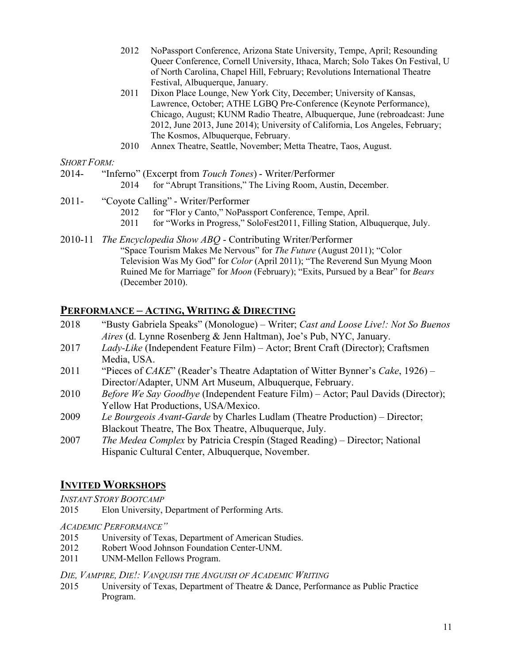- 2012 NoPassport Conference, Arizona State University, Tempe, April; Resounding Queer Conference, Cornell University, Ithaca, March; Solo Takes On Festival, U of North Carolina, Chapel Hill, February; Revolutions International Theatre Festival, Albuquerque, January.
- 2011 Dixon Place Lounge, New York City, December; University of Kansas, Lawrence, October; ATHE LGBQ Pre-Conference (Keynote Performance), Chicago, August; KUNM Radio Theatre, Albuquerque, June (rebroadcast: June 2012, June 2013, June 2014); University of California, Los Angeles, February; The Kosmos, Albuquerque, February.
- 2010 Annex Theatre, Seattle, November; Metta Theatre, Taos, August.

### *SHORT FORM:*

- 2014- "Inferno" (Excerpt from *Touch Tones*) Writer/Performer
	- 2014 for "Abrupt Transitions," The Living Room, Austin, December.
- 2011- "Coyote Calling" Writer/Performer
	- 2012 for "Flor y Canto," NoPassport Conference, Tempe. April.
	- 2011 for "Works in Progress," SoloFest2011, Filling Station, Albuquerque, July.
- 2010-11 *The Encyclopedia Show ABQ* Contributing Writer/Performer "Space Tourism Makes Me Nervous" for *The Future* (August 2011); "Color Television Was My God" for *Color* (April 2011); "The Reverend Sun Myung Moon Ruined Me for Marriage" for *Moon* (February); "Exits, Pursued by a Bear" for *Bears* (December 2010).

### **PERFORMANCE – ACTING, WRITING & DIRECTING**

- 2018 "Busty Gabriela Speaks" (Monologue) Writer; *Cast and Loose Live!: Not So Buenos Aires* (d. Lynne Rosenberg & Jenn Haltman), Joe's Pub, NYC, January.
- 2017 *Lady-Like* (Independent Feature Film) Actor; Brent Craft (Director); Craftsmen Media, USA.
- 2011 "Pieces of *CAKE*" (Reader's Theatre Adaptation of Witter Bynner's *Cake*, 1926) Director/Adapter, UNM Art Museum, Albuquerque, February.
- 2010 *Before We Say Goodbye* (Independent Feature Film) Actor; Paul Davids (Director); Yellow Hat Productions, USA/Mexico.
- 2009 *Le Bourgeois Avant-Garde* by Charles Ludlam (Theatre Production) Director; Blackout Theatre, The Box Theatre, Albuquerque, July.
- 2007 *The Medea Complex* by Patricia Crespín (Staged Reading) Director; National Hispanic Cultural Center, Albuquerque, November.

# **INVITED WORKSHOPS**

*INSTANT STORY BOOTCAMP*

2015 Elon University, Department of Performing Arts.

### *ACADEMIC PERFORMANCE"*

- 2015 University of Texas, Department of American Studies.
- 2012 Robert Wood Johnson Foundation Center-UNM.
- 2011 UNM-Mellon Fellows Program.

### *DIE, VAMPIRE, DIE!: VANQUISH THE ANGUISH OF ACADEMIC WRITING*

2015 University of Texas, Department of Theatre & Dance, Performance as Public Practice Program.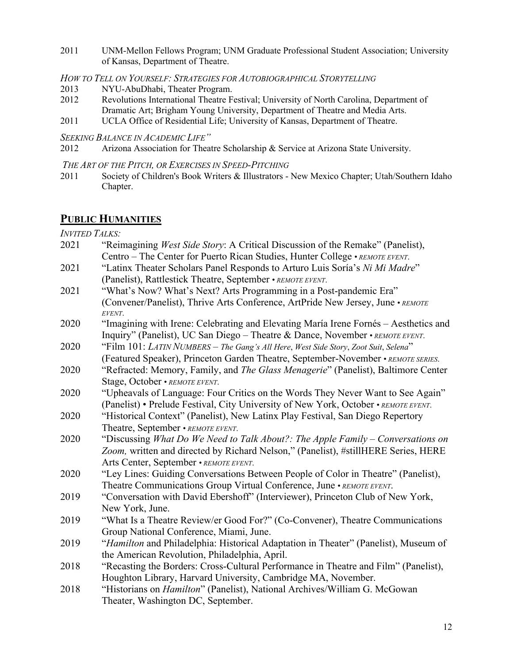2011 UNM-Mellon Fellows Program; UNM Graduate Professional Student Association; University of Kansas, Department of Theatre.

*HOW TO TELL ON YOURSELF: STRATEGIES FOR AUTOBIOGRAPHICAL STORYTELLING*

- 2013 NYU-AbuDhabi, Theater Program.
- 2012 Revolutions International Theatre Festival; University of North Carolina, Department of Dramatic Art; Brigham Young University, Department of Theatre and Media Arts.
- 2011 UCLA Office of Residential Life; University of Kansas, Department of Theatre.
- *SEEKING BALANCE IN ACADEMIC LIFE"*
- 2012 Arizona Association for Theatre Scholarship & Service at Arizona State University.
- *THE ART OF THE PITCH, OR EXERCISES IN SPEED-PITCHING*
- 2011 Society of Children's Book Writers & Illustrators New Mexico Chapter; Utah/Southern Idaho Chapter.

# **PUBLIC HUMANITIES**

*INVITED TALKS:*

| 2021 | "Reimagining West Side Story: A Critical Discussion of the Remake" (Panelist),            |
|------|-------------------------------------------------------------------------------------------|
|      | Centro – The Center for Puerto Rican Studies, Hunter College • REMOTE EVENT.              |
| 2021 | "Latinx Theater Scholars Panel Responds to Arturo Luis Soría's Ni Mi Madre"               |
|      | (Panelist), Rattlestick Theatre, September · REMOTE EVENT.                                |
| 2021 | "What's Now? What's Next? Arts Programming in a Post-pandemic Era"                        |
|      | (Convener/Panelist), Thrive Arts Conference, ArtPride New Jersey, June • REMOTE<br>EVENT. |
| 2020 | "Imagining with Irene: Celebrating and Elevating María Irene Fornés - Aesthetics and      |
|      | Inquiry" (Panelist), UC San Diego - Theatre & Dance, November • REMOTE EVENT.             |
| 2020 | "Film 101: LATIN NUMBERS - The Gang's All Here, West Side Story, Zoot Suit, Selena"       |
|      | (Featured Speaker), Princeton Garden Theatre, September-November • REMOTE SERIES.         |
| 2020 | "Refracted: Memory, Family, and The Glass Menagerie" (Panelist), Baltimore Center         |
|      | Stage, October • REMOTE EVENT.                                                            |
| 2020 | "Upheavals of Language: Four Critics on the Words They Never Want to See Again"           |
|      | (Panelist) • Prelude Festival, City University of New York, October • REMOTE EVENT.       |
| 2020 | "Historical Context" (Panelist), New Latinx Play Festival, San Diego Repertory            |
|      | Theatre, September • REMOTE EVENT.                                                        |
| 2020 | "Discussing What Do We Need to Talk About?: The Apple Family – Conversations on           |
|      | Zoom, written and directed by Richard Nelson," (Panelist), #stillHERE Series, HERE        |
|      | Arts Center, September • REMOTE EVENT.                                                    |
| 2020 | "Ley Lines: Guiding Conversations Between People of Color in Theatre" (Panelist),         |
|      | Theatre Communications Group Virtual Conference, June • REMOTE EVENT.                     |
| 2019 | "Conversation with David Ebershoff" (Interviewer), Princeton Club of New York,            |
|      | New York, June.                                                                           |
| 2019 | "What Is a Theatre Review/er Good For?" (Co-Convener), Theatre Communications             |
|      | Group National Conference, Miami, June.                                                   |
| 2019 | "Hamilton and Philadelphia: Historical Adaptation in Theater" (Panelist), Museum of       |
|      | the American Revolution, Philadelphia, April.                                             |
| 2018 | "Recasting the Borders: Cross-Cultural Performance in Theatre and Film" (Panelist),       |
|      | Houghton Library, Harvard University, Cambridge MA, November.                             |
| 2018 | "Historians on <i>Hamilton</i> " (Panelist), National Archives/William G. McGowan         |
|      | Theater, Washington DC, September.                                                        |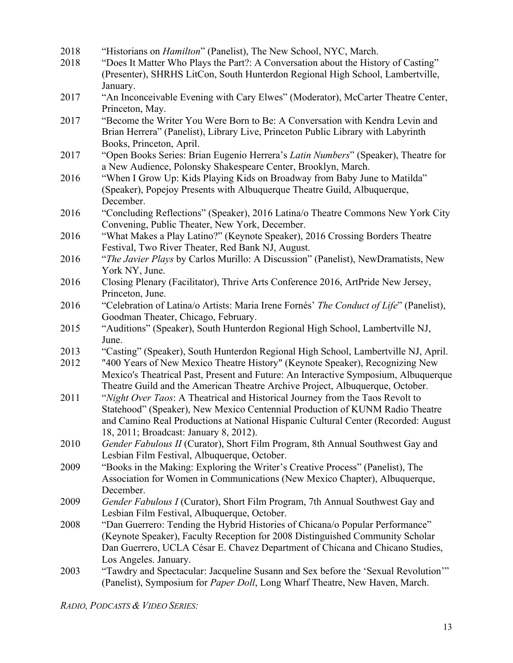| 2018 | "Historians on <i>Hamilton</i> " (Panelist), The New School, NYC, March.               |
|------|----------------------------------------------------------------------------------------|
| 2018 | "Does It Matter Who Plays the Part?: A Conversation about the History of Casting"      |
|      | (Presenter), SHRHS LitCon, South Hunterdon Regional High School, Lambertville,         |
|      | January.                                                                               |
| 2017 | "An Inconceivable Evening with Cary Elwes" (Moderator), McCarter Theatre Center,       |
|      | Princeton, May.                                                                        |
| 2017 | "Become the Writer You Were Born to Be: A Conversation with Kendra Levin and           |
|      | Brian Herrera" (Panelist), Library Live, Princeton Public Library with Labyrinth       |
|      | Books, Princeton, April.                                                               |
| 2017 | "Open Books Series: Brian Eugenio Herrera's Latin Numbers" (Speaker), Theatre for      |
|      | a New Audience, Polonsky Shakespeare Center, Brooklyn, March.                          |
| 2016 | "When I Grow Up: Kids Playing Kids on Broadway from Baby June to Matilda"              |
|      | (Speaker), Popejoy Presents with Albuquerque Theatre Guild, Albuquerque,               |
|      | December.                                                                              |
| 2016 | "Concluding Reflections" (Speaker), 2016 Latina/o Theatre Commons New York City        |
|      | Convening, Public Theater, New York, December.                                         |
| 2016 | "What Makes a Play Latino?" (Keynote Speaker), 2016 Crossing Borders Theatre           |
|      | Festival, Two River Theater, Red Bank NJ, August.                                      |
| 2016 | "The Javier Plays by Carlos Murillo: A Discussion" (Panelist), NewDramatists, New      |
|      | York NY, June.                                                                         |
| 2016 | Closing Plenary (Facilitator), Thrive Arts Conference 2016, ArtPride New Jersey,       |
|      | Princeton, June.                                                                       |
| 2016 | "Celebration of Latina/o Artists: Maria Irene Fornés' The Conduct of Life" (Panelist), |
|      | Goodman Theater, Chicago, February.                                                    |
| 2015 | "Auditions" (Speaker), South Hunterdon Regional High School, Lambertville NJ,          |
|      | June.                                                                                  |
| 2013 | "Casting" (Speaker), South Hunterdon Regional High School, Lambertville NJ, April.     |
| 2012 | "400 Years of New Mexico Theatre History" (Keynote Speaker), Recognizing New           |
|      | Mexico's Theatrical Past, Present and Future: An Interactive Symposium, Albuquerque    |
|      | Theatre Guild and the American Theatre Archive Project, Albuquerque, October.          |
| 2011 | "Night Over Taos: A Theatrical and Historical Journey from the Taos Revolt to          |
|      | Statehood" (Speaker), New Mexico Centennial Production of KUNM Radio Theatre           |
|      | and Camino Real Productions at National Hispanic Cultural Center (Recorded: August     |
|      | 18, 2011; Broadcast: January 8, 2012).                                                 |
| 2010 | Gender Fabulous II (Curator), Short Film Program, 8th Annual Southwest Gay and         |
|      | Lesbian Film Festival, Albuquerque, October.                                           |
| 2009 | "Books in the Making: Exploring the Writer's Creative Process" (Panelist), The         |
|      | Association for Women in Communications (New Mexico Chapter), Albuquerque,             |
|      | December.                                                                              |
| 2009 | Gender Fabulous I (Curator), Short Film Program, 7th Annual Southwest Gay and          |
|      | Lesbian Film Festival, Albuquerque, October.                                           |
| 2008 | "Dan Guerrero: Tending the Hybrid Histories of Chicana/o Popular Performance"          |
|      | (Keynote Speaker), Faculty Reception for 2008 Distinguished Community Scholar          |
|      | Dan Guerrero, UCLA César E. Chavez Department of Chicana and Chicano Studies,          |
|      | Los Angeles. January.                                                                  |
| 2003 | "Tawdry and Spectacular: Jacqueline Susann and Sex before the 'Sexual Revolution'"     |
|      | (Panelist), Symposium for Paper Doll, Long Wharf Theatre, New Haven, March.            |
|      |                                                                                        |

*RADIO, PODCASTS & VIDEO SERIES:*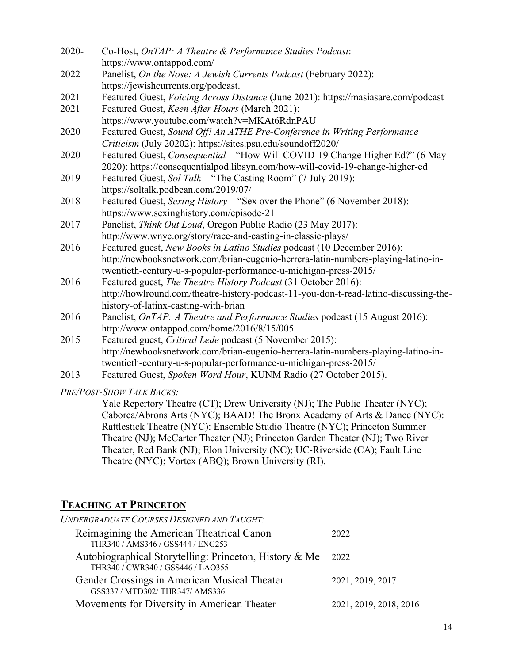| 2020- | Co-Host, OnTAP: A Theatre & Performance Studies Podcast:                              |
|-------|---------------------------------------------------------------------------------------|
|       | https://www.ontappod.com/                                                             |
| 2022  | Panelist, On the Nose: A Jewish Currents Podcast (February 2022):                     |
|       | https://jewishcurrents.org/podcast.                                                   |
| 2021  | Featured Guest, Voicing Across Distance (June 2021): https://masiasare.com/podcast    |
| 2021  | Featured Guest, Keen After Hours (March 2021):                                        |
|       | https://www.youtube.com/watch?v=MKAt6RdnPAU                                           |
| 2020  | Featured Guest, Sound Off! An ATHE Pre-Conference in Writing Performance              |
|       | Criticism (July 20202): https://sites.psu.edu/soundoff2020/                           |
| 2020  | Featured Guest, Consequential - "How Will COVID-19 Change Higher Ed?" (6 May          |
|       | 2020): https://consequentialpod.libsyn.com/how-will-covid-19-change-higher-ed         |
| 2019  | Featured Guest, Sol Talk - "The Casting Room" (7 July 2019):                          |
|       | https://soltalk.podbean.com/2019/07/                                                  |
| 2018  | Featured Guest, Sexing History - "Sex over the Phone" (6 November 2018):              |
|       | https://www.sexinghistory.com/episode-21                                              |
| 2017  | Panelist, Think Out Loud, Oregon Public Radio (23 May 2017):                          |
|       | http://www.wnyc.org/story/race-and-casting-in-classic-plays/                          |
| 2016  | Featured guest, New Books in Latino Studies podcast (10 December 2016):               |
|       | http://newbooksnetwork.com/brian-eugenio-herrera-latin-numbers-playing-latino-in-     |
|       | twentieth-century-u-s-popular-performance-u-michigan-press-2015/                      |
| 2016  | Featured guest, The Theatre History Podcast (31 October 2016):                        |
|       | http://howlround.com/theatre-history-podcast-11-you-don-t-read-latino-discussing-the- |
|       | history-of-latinx-casting-with-brian                                                  |
| 2016  | Panelist, OnTAP: A Theatre and Performance Studies podcast (15 August 2016):          |
|       | http://www.ontappod.com/home/2016/8/15/005                                            |
| 2015  | Featured guest, Critical Lede podcast (5 November 2015):                              |
|       | http://newbooksnetwork.com/brian-eugenio-herrera-latin-numbers-playing-latino-in-     |
|       | twentieth-century-u-s-popular-performance-u-michigan-press-2015/                      |
| 2013  | Featured Guest, Spoken Word Hour, KUNM Radio (27 October 2015).                       |
|       |                                                                                       |

*PRE/POST-SHOW TALK BACKS:*

Yale Repertory Theatre (CT); Drew University (NJ); The Public Theater (NYC); Caborca/Abrons Arts (NYC); BAAD! The Bronx Academy of Arts & Dance (NYC): Rattlestick Theatre (NYC): Ensemble Studio Theatre (NYC); Princeton Summer Theatre (NJ); McCarter Theater (NJ); Princeton Garden Theater (NJ); Two River Theater, Red Bank (NJ); Elon University (NC); UC-Riverside (CA); Fault Line Theatre (NYC); Vortex (ABQ); Brown University (RI).

# **TEACHING AT PRINCETON**

| <b>UNDERGRADUATE COURSES DESIGNED AND TAUGHT:</b>                                           |                        |
|---------------------------------------------------------------------------------------------|------------------------|
| Reimagining the American Theatrical Canon<br>THR340 / AMS346 / GSS444 / ENG253              | 2022                   |
| Autobiographical Storytelling: Princeton, History & Me<br>THR340 / CWR340 / GSS446 / LAO355 | 2022                   |
| Gender Crossings in American Musical Theater<br>GSS337 / MTD302/ THR347/ AMS336             | 2021, 2019, 2017       |
| Movements for Diversity in American Theater                                                 | 2021, 2019, 2018, 2016 |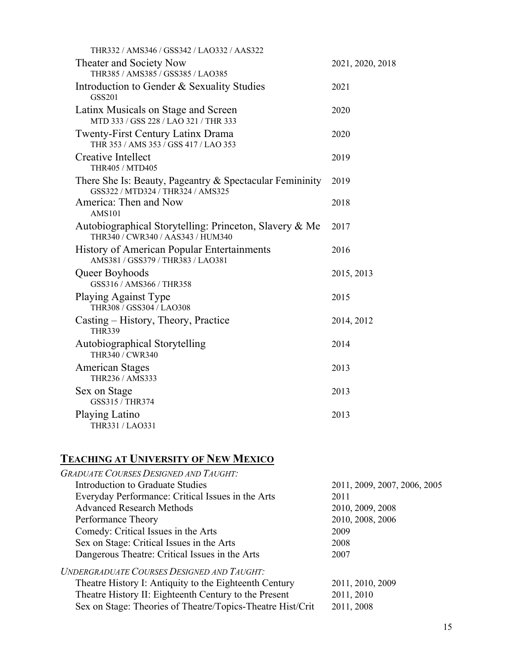| THR332 / AMS346 / GSS342 / LAO332 / AAS322                                                    |                  |
|-----------------------------------------------------------------------------------------------|------------------|
| Theater and Society Now<br>THR385 / AMS385 / GSS385 / LAO385                                  | 2021, 2020, 2018 |
| Introduction to Gender & Sexuality Studies<br>GSS201                                          | 2021             |
| Latinx Musicals on Stage and Screen<br>MTD 333 / GSS 228 / LAO 321 / THR 333                  | 2020             |
| Twenty-First Century Latinx Drama<br>THR 353 / AMS 353 / GSS 417 / LAO 353                    | 2020             |
| Creative Intellect<br>THR405 / MTD405                                                         | 2019             |
| There She Is: Beauty, Pageantry & Spectacular Femininity<br>GSS322 / MTD324 / THR324 / AMS325 | 2019             |
| America: Then and Now<br><b>AMS101</b>                                                        | 2018             |
| Autobiographical Storytelling: Princeton, Slavery & Me<br>THR340 / CWR340 / AAS343 / HUM340   | 2017             |
| <b>History of American Popular Entertainments</b><br>AMS381 / GSS379 / THR383 / LAO381        | 2016             |
| Queer Boyhoods<br>GSS316 / AMS366 / THR358                                                    | 2015, 2013       |
| <b>Playing Against Type</b><br>THR308 / GSS304 / LAO308                                       | 2015             |
| Casting – History, Theory, Practice<br><b>THR339</b>                                          | 2014, 2012       |
| Autobiographical Storytelling<br>THR340 / CWR340                                              | 2014             |
| <b>American Stages</b><br>THR236 / AMS333                                                     | 2013             |
| Sex on Stage<br>GSS315 / THR374                                                               | 2013             |
| Playing Latino<br>THR331 / LAO331                                                             | 2013             |

# **TEACHING AT UNIVERSITY OF NEW MEXICO**

| <b>GRADUATE COURSES DESIGNED AND TAUGHT:</b>               |                              |
|------------------------------------------------------------|------------------------------|
| Introduction to Graduate Studies                           | 2011, 2009, 2007, 2006, 2005 |
| Everyday Performance: Critical Issues in the Arts          | 2011                         |
| <b>Advanced Research Methods</b>                           | 2010, 2009, 2008             |
| Performance Theory                                         | 2010, 2008, 2006             |
| Comedy: Critical Issues in the Arts                        | 2009                         |
| Sex on Stage: Critical Issues in the Arts                  | 2008                         |
| Dangerous Theatre: Critical Issues in the Arts             | 2007                         |
| <b>UNDERGRADUATE COURSES DESIGNED AND TAUGHT:</b>          |                              |
| Theatre History I: Antiquity to the Eighteenth Century     | 2011, 2010, 2009             |
| Theatre History II: Eighteenth Century to the Present      | 2011, 2010                   |
| Sex on Stage: Theories of Theatre/Topics-Theatre Hist/Crit | 2011, 2008                   |
|                                                            |                              |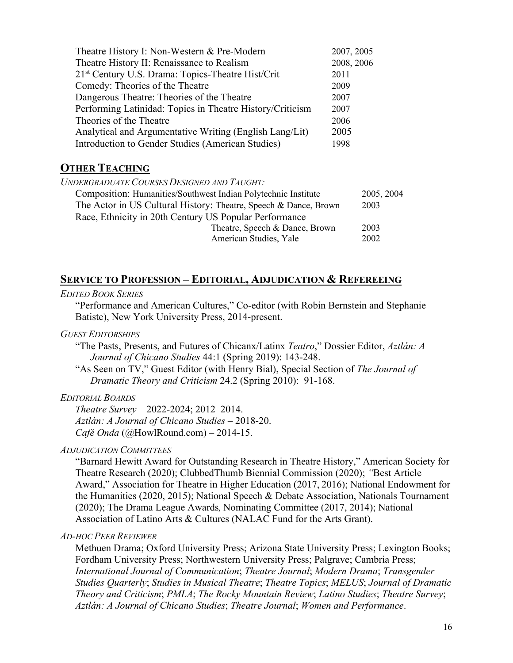| Theatre History I: Non-Western & Pre-Modern                   | 2007, 2005 |
|---------------------------------------------------------------|------------|
| Theatre History II: Renaissance to Realism                    | 2008, 2006 |
| 21 <sup>st</sup> Century U.S. Drama: Topics-Theatre Hist/Crit | 2011       |
| Comedy: Theories of the Theatre                               | 2009       |
| Dangerous Theatre: Theories of the Theatre                    | 2007       |
| Performing Latinidad: Topics in Theatre History/Criticism     | 2007       |
| Theories of the Theatre                                       | 2006       |
| Analytical and Argumentative Writing (English Lang/Lit)       | 2005       |
| Introduction to Gender Studies (American Studies)             | 1998       |

# **OTHER TEACHING**

*UNDERGRADUATE COURSES DESIGNED AND TAUGHT:*

| Composition: Humanities/Southwest Indian Polytechnic Institute   | 2005, 2004 |
|------------------------------------------------------------------|------------|
| The Actor in US Cultural History: Theatre, Speech & Dance, Brown | 2003       |
| Race, Ethnicity in 20th Century US Popular Performance           |            |
| Theatre, Speech & Dance, Brown                                   | 2003       |
| American Studies, Yale                                           | 2002       |
|                                                                  |            |

# **SERVICE TO PROFESSION – EDITORIAL, ADJUDICATION & REFEREEING**

### *EDITED BOOK SERIES*

"Performance and American Cultures," Co-editor (with Robin Bernstein and Stephanie Batiste), New York University Press, 2014-present.

### *GUEST EDITORSHIPS*

"The Pasts, Presents, and Futures of Chicanx/Latinx *Teatro*," Dossier Editor, *Aztlán: A Journal of Chicano Studies* 44:1 (Spring 2019): 143-248.

"As Seen on TV," Guest Editor (with Henry Bial), Special Section of *The Journal of Dramatic Theory and Criticism* 24.2 (Spring 2010): 91-168.

### *EDITORIAL BOARDS*

*Theatre Survey* – 2022-2024; 2012–2014. *Aztlán: A Journal of Chicano Studies* – 2018-20. *Café Onda* (@HowlRound.com) – 2014-15.

### *ADJUDICATION COMMITTEES*

"Barnard Hewitt Award for Outstanding Research in Theatre History," American Society for Theatre Research (2020); ClubbedThumb Biennial Commission (2020); *"*Best Article Award," Association for Theatre in Higher Education (2017, 2016); National Endowment for the Humanities (2020, 2015); National Speech & Debate Association, Nationals Tournament (2020); The Drama League Awards*,* Nominating Committee (2017, 2014); National Association of Latino Arts & Cultures (NALAC Fund for the Arts Grant).

### *AD-HOC PEER REVIEWER*

Methuen Drama; Oxford University Press; Arizona State University Press; Lexington Books; Fordham University Press; Northwestern University Press; Palgrave; Cambria Press; *International Journal of Communication*; *Theatre Journal*; *Modern Drama*; *Transgender Studies Quarterly*; *Studies in Musical Theatre*; *Theatre Topics*; *MELUS*; *Journal of Dramatic Theory and Criticism*; *PMLA*; *The Rocky Mountain Review*; *Latino Studies*; *Theatre Survey*; *Aztlán: A Journal of Chicano Studies*; *Theatre Journal*; *Women and Performance*.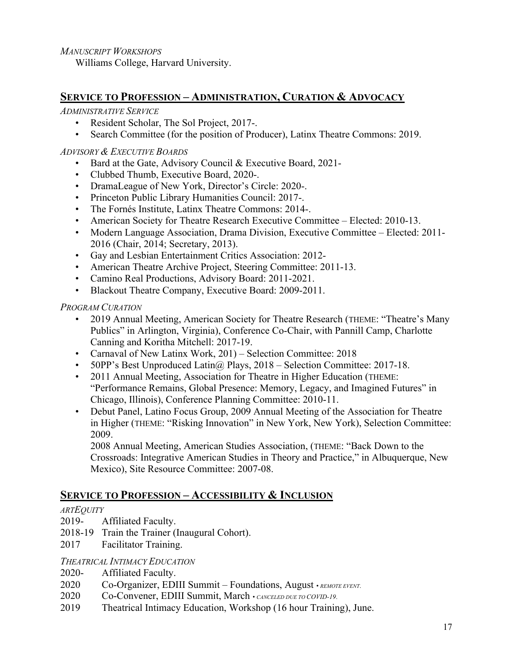*MANUSCRIPT WORKSHOPS*

Williams College, Harvard University.

# **SERVICE TO PROFESSION – ADMINISTRATION, CURATION & ADVOCACY**

*ADMINISTRATIVE SERVICE*

- Resident Scholar, The Sol Project, 2017-.
- Search Committee (for the position of Producer), Latinx Theatre Commons: 2019.

### *ADVISORY & EXECUTIVE BOARDS*

- Bard at the Gate, Advisory Council & Executive Board, 2021-
- Clubbed Thumb, Executive Board, 2020-.
- DramaLeague of New York, Director's Circle: 2020-.
- Princeton Public Library Humanities Council: 2017-.
- The Fornés Institute, Latinx Theatre Commons: 2014-.
- American Society for Theatre Research Executive Committee Elected: 2010-13.
- Modern Language Association, Drama Division, Executive Committee Elected: 2011- 2016 (Chair, 2014; Secretary, 2013).
- Gay and Lesbian Entertainment Critics Association: 2012-
- American Theatre Archive Project, Steering Committee: 2011-13.
- Camino Real Productions, Advisory Board: 2011-2021.
- Blackout Theatre Company, Executive Board: 2009-2011.

*PROGRAM CURATION*

- 2019 Annual Meeting, American Society for Theatre Research (THEME: "Theatre's Many Publics" in Arlington, Virginia), Conference Co-Chair, with Pannill Camp, Charlotte Canning and Koritha Mitchell: 2017-19.
- Carnaval of New Latinx Work, 201) Selection Committee: 2018
- 50PP's Best Unproduced Latin $\omega$ , Plays, 2018 Selection Committee: 2017-18.
- 2011 Annual Meeting, Association for Theatre in Higher Education (THEME: "Performance Remains, Global Presence: Memory, Legacy, and Imagined Futures" in Chicago, Illinois), Conference Planning Committee: 2010-11.
- Debut Panel, Latino Focus Group, 2009 Annual Meeting of the Association for Theatre in Higher (THEME: "Risking Innovation" in New York, New York), Selection Committee: 2009.

2008 Annual Meeting, American Studies Association, (THEME: "Back Down to the Crossroads: Integrative American Studies in Theory and Practice," in Albuquerque, New Mexico), Site Resource Committee: 2007-08.

# **SERVICE TO PROFESSION – ACCESSIBILITY & INCLUSION**

# *ARTEQUITY*

- 2019- Affiliated Faculty.
- 2018-19 Train the Trainer (Inaugural Cohort).
- 2017 Facilitator Training.

### *THEATRICAL INTIMACY EDUCATION*

- 2020- Affiliated Faculty.
- 2020 Co-Organizer, EDIII Summit Foundations, August *• REMOTE EVENT*.
- 2020 Co-Convener, EDIII Summit, March *• CANCELED DUE TO COVID-19*.
- 2019 Theatrical Intimacy Education, Workshop (16 hour Training), June.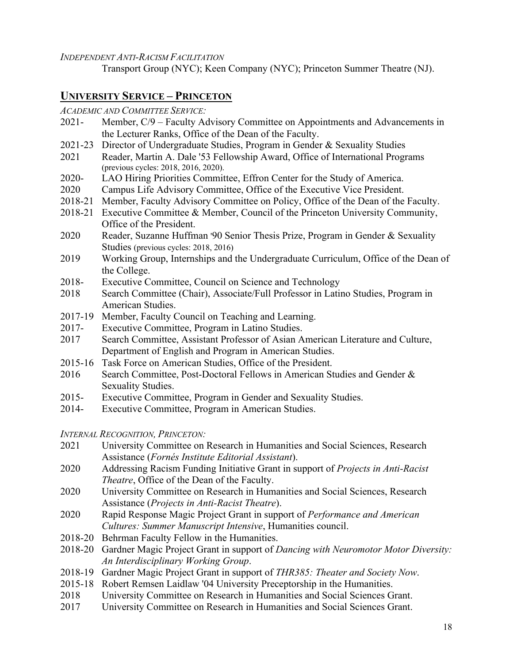*INDEPENDENT ANTI-RACISM FACILITATION*

Transport Group (NYC); Keen Company (NYC); Princeton Summer Theatre (NJ).

# **UNIVERSITY SERVICE – PRINCETON**

*ACADEMIC AND COMMITTEE SERVICE:*

- 2021- Member, C/9 Faculty Advisory Committee on Appointments and Advancements in the Lecturer Ranks, Office of the Dean of the Faculty.
- 2021-23 Director of Undergraduate Studies, Program in Gender & Sexuality Studies
- 2021 Reader, Martin A. Dale '53 Fellowship Award, Office of International Programs (previous cycles: 2018, 2016, 2020).
- 2020- LAO Hiring Priorities Committee, Effron Center for the Study of America.
- 2020 Campus Life Advisory Committee, Office of the Executive Vice President.
- 2018-21 Member, Faculty Advisory Committee on Policy, Office of the Dean of the Faculty.
- 2018-21 Executive Committee & Member, Council of the Princeton University Community, Office of the President.
- 2020 Reader, Suzanne Huffman '90 Senior Thesis Prize, Program in Gender & Sexuality Studies (previous cycles: 2018, 2016)
- 2019 Working Group, Internships and the Undergraduate Curriculum, Office of the Dean of the College.
- 2018- Executive Committee, Council on Science and Technology
- 2018 Search Committee (Chair), Associate/Full Professor in Latino Studies, Program in American Studies.
- 2017-19 Member, Faculty Council on Teaching and Learning.
- 2017- Executive Committee, Program in Latino Studies.
- 2017 Search Committee, Assistant Professor of Asian American Literature and Culture, Department of English and Program in American Studies.
- 2015-16 Task Force on American Studies, Office of the President.
- 2016 Search Committee, Post-Doctoral Fellows in American Studies and Gender & Sexuality Studies.
- 2015- Executive Committee, Program in Gender and Sexuality Studies.
- 2014- Executive Committee, Program in American Studies.

*INTERNAL RECOGNITION, PRINCETON:*

- 2021 University Committee on Research in Humanities and Social Sciences, Research Assistance (*Fornés Institute Editorial Assistant*).
- 2020 Addressing Racism Funding Initiative Grant in support of *Projects in Anti-Racist Theatre*, Office of the Dean of the Faculty.
- 2020 University Committee on Research in Humanities and Social Sciences, Research Assistance (*Projects in Anti-Racist Theatre*).
- 2020 Rapid Response Magic Project Grant in support of *Performance and American Cultures: Summer Manuscript Intensive*, Humanities council.
- 2018-20 Behrman Faculty Fellow in the Humanities.
- 2018-20 Gardner Magic Project Grant in support of *Dancing with Neuromotor Motor Diversity: An Interdisciplinary Working Group*.
- 2018-19 Gardner Magic Project Grant in support of *THR385: Theater and Society Now*.
- 2015-18 Robert Remsen Laidlaw '04 University Preceptorship in the Humanities.
- 2018 University Committee on Research in Humanities and Social Sciences Grant.
- 2017 University Committee on Research in Humanities and Social Sciences Grant.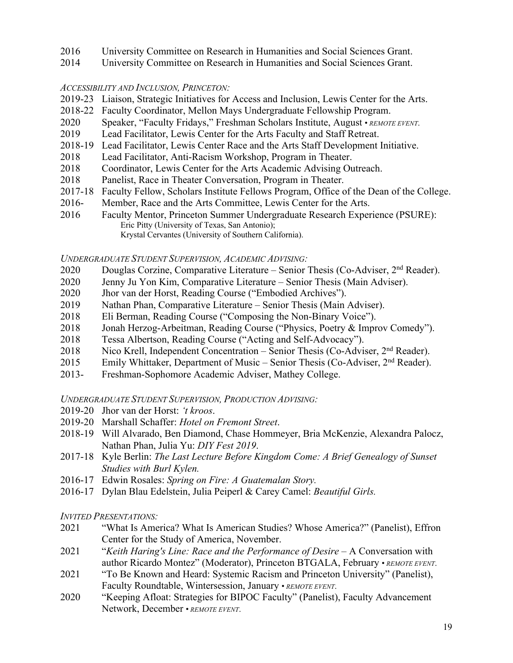- 2016 University Committee on Research in Humanities and Social Sciences Grant.
- 2014 University Committee on Research in Humanities and Social Sciences Grant.

### *ACCESSIBILITY AND INCLUSION, PRINCETON:*

- 2019-23 Liaison, Strategic Initiatives for Access and Inclusion, Lewis Center for the Arts.
- 2018-22 Faculty Coordinator, Mellon Mays Undergraduate Fellowship Program.
- 2020 Speaker, "Faculty Fridays," Freshman Scholars Institute, August *REMOTE EVENT*.
- 2019 Lead Facilitator, Lewis Center for the Arts Faculty and Staff Retreat.
- 2018-19 Lead Facilitator, Lewis Center Race and the Arts Staff Development Initiative.
- 2018 Lead Facilitator, Anti-Racism Workshop, Program in Theater.
- 2018 Coordinator, Lewis Center for the Arts Academic Advising Outreach.
- 2018 Panelist, Race in Theater Conversation, Program in Theater.
- 2017-18 Faculty Fellow, Scholars Institute Fellows Program, Office of the Dean of the College.
- 2016- Member, Race and the Arts Committee, Lewis Center for the Arts.
- 2016 Faculty Mentor, Princeton Summer Undergraduate Research Experience (PSURE): Eric Pitty (University of Texas, San Antonio); Krystal Cervantes (University of Southern California).

### *UNDERGRADUATE STUDENT SUPERVISION, ACADEMIC ADVISING:*

- 2020 Douglas Corzine, Comparative Literature Senior Thesis (Co-Adviser,  $2<sup>nd</sup>$  Reader).
- 2020 Jenny Ju Yon Kim, Comparative Literature Senior Thesis (Main Adviser).
- 2020 Jhor van der Horst, Reading Course ("Embodied Archives").
- 2019 Nathan Phan, Comparative Literature Senior Thesis (Main Adviser).
- 2018 Eli Berman, Reading Course ("Composing the Non-Binary Voice").
- 2018 Jonah Herzog-Arbeitman, Reading Course ("Physics, Poetry & Improv Comedy").
- 2018 Tessa Albertson, Reading Course ("Acting and Self-Advocacy").
- 2018 Nico Krell, Independent Concentration Senior Thesis (Co-Adviser, 2<sup>nd</sup> Reader).
- 2015 Emily Whittaker, Department of Music Senior Thesis (Co-Adviser, 2<sup>nd</sup> Reader).
- 2013- Freshman-Sophomore Academic Adviser, Mathey College.

### *UNDERGRADUATE STUDENT SUPERVISION, PRODUCTION ADVISING:*

- 2019-20 Jhor van der Horst: *'t kroos*.
- 2019-20 Marshall Schaffer: *Hotel on Fremont Street*.
- 2018-19 Will Alvarado, Ben Diamond, Chase Hommeyer, Bria McKenzie, Alexandra Palocz, Nathan Phan, Julia Yu: *DIY Fest 2019*.
- 2017-18 Kyle Berlin: *The Last Lecture Before Kingdom Come: A Brief Genealogy of Sunset Studies with Burl Kylen.*
- 2016-17 Edwin Rosales: *Spring on Fire: A Guatemalan Story.*
- 2016-17 Dylan Blau Edelstein, Julia Peiperl & Carey Camel: *Beautiful Girls.*

### *INVITED PRESENTATIONS:*

- 2021 "What Is America? What Is American Studies? Whose America?" (Panelist), Effron Center for the Study of America, November.
- 2021 "*Keith Haring′s Line: Race and the Performance of Desire* A Conversation with author Ricardo Montez" (Moderator), Princeton BTGALA, February • *REMOTE EVENT*.
- 2021 "To Be Known and Heard: Systemic Racism and Princeton University" (Panelist), Faculty Roundtable, Wintersession, January • *REMOTE EVENT*.
- 2020 "Keeping Afloat: Strategies for BIPOC Faculty" (Panelist), Faculty Advancement Network, December • *REMOTE EVENT*.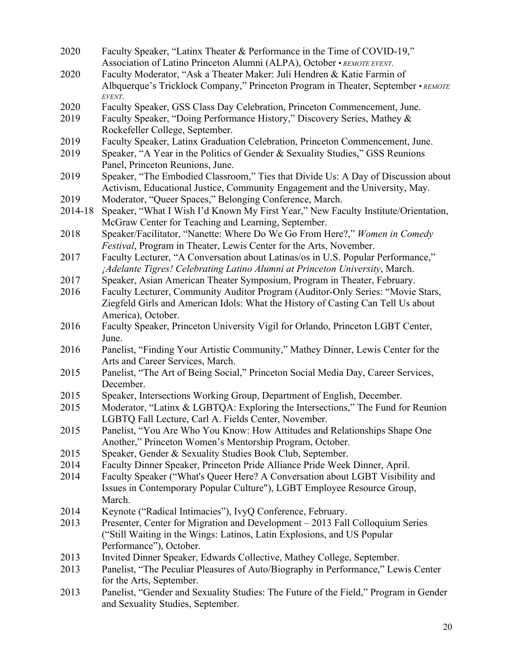| 2020    | Faculty Speaker, "Latinx Theater & Performance in the Time of COVID-19,"                                                  |  |
|---------|---------------------------------------------------------------------------------------------------------------------------|--|
|         | Association of Latino Princeton Alumni (ALPA), October • REMOTE EVENT.                                                    |  |
| 2020    | Faculty Moderator, "Ask a Theater Maker: Juli Hendren & Katie Farmin of                                                   |  |
|         | Albquerque's Tricklock Company," Princeton Program in Theater, September • REMOTE<br>EVENT.                               |  |
| 2020    | Faculty Speaker, GSS Class Day Celebration, Princeton Commencement, June.                                                 |  |
| 2019    | Faculty Speaker, "Doing Performance History," Discovery Series, Mathey &                                                  |  |
|         | Rockefeller College, September.                                                                                           |  |
| 2019    | Faculty Speaker, Latinx Graduation Celebration, Princeton Commencement, June.                                             |  |
| 2019    | Speaker, "A Year in the Politics of Gender & Sexuality Studies," GSS Reunions                                             |  |
|         | Panel, Princeton Reunions, June.                                                                                          |  |
| 2019    | Speaker, "The Embodied Classroom," Ties that Divide Us: A Day of Discussion about                                         |  |
|         | Activism, Educational Justice, Community Engagement and the University, May.                                              |  |
| 2019    | Moderator, "Queer Spaces," Belonging Conference, March.                                                                   |  |
| 2014-18 | Speaker, "What I Wish I'd Known My First Year," New Faculty Institute/Orientation,                                        |  |
|         | McGraw Center for Teaching and Learning, September.                                                                       |  |
| 2018    | Speaker/Facilitator, "Nanette: Where Do We Go From Here?," Women in Comedy                                                |  |
|         | <i>Festival</i> , Program in Theater, Lewis Center for the Arts, November.                                                |  |
| 2017    | Faculty Lecturer, "A Conversation about Latinas/os in U.S. Popular Performance,"                                          |  |
|         | ¡Adelante Tigres! Celebrating Latino Alumni at Princeton University, March.                                               |  |
| 2017    | Speaker, Asian American Theater Symposium, Program in Theater, February.                                                  |  |
| 2016    | Faculty Lecturer, Community Auditor Program (Auditor-Only Series: "Movie Stars,                                           |  |
|         | Ziegfeld Girls and American Idols: What the History of Casting Can Tell Us about                                          |  |
| 2016    | America), October.<br>Faculty Speaker, Princeton University Vigil for Orlando, Princeton LGBT Center,                     |  |
|         | June.                                                                                                                     |  |
| 2016    | Panelist, "Finding Your Artistic Community," Mathey Dinner, Lewis Center for the                                          |  |
|         | Arts and Career Services, March.                                                                                          |  |
| 2015    | Panelist, "The Art of Being Social," Princeton Social Media Day, Career Services,                                         |  |
|         | December.                                                                                                                 |  |
| 2015    | Speaker, Intersections Working Group, Department of English, December.                                                    |  |
| 2015    | Moderator, "Latinx & LGBTQA: Exploring the Intersections," The Fund for Reunion                                           |  |
|         | LGBTQ Fall Lecture, Carl A. Fields Center, November.                                                                      |  |
| 2015    | Panelist, "You Are Who You Know: How Attitudes and Relationships Shape One                                                |  |
|         | Another," Princeton Women's Mentorship Program, October.                                                                  |  |
| 2015    | Speaker, Gender & Sexuality Studies Book Club, September.                                                                 |  |
| 2014    | Faculty Dinner Speaker, Princeton Pride Alliance Pride Week Dinner, April.                                                |  |
| 2014    | Faculty Speaker ("What's Queer Here? A Conversation about LGBT Visibility and                                             |  |
|         | Issues in Contemporary Popular Culture"), LGBT Employee Resource Group,                                                   |  |
|         | March.                                                                                                                    |  |
| 2014    | Keynote ("Radical Intimacies"), IvyQ Conference, February.                                                                |  |
| 2013    | Presenter, Center for Migration and Development - 2013 Fall Colloquium Series                                             |  |
|         | ("Still Waiting in the Wings: Latinos, Latin Explosions, and US Popular                                                   |  |
|         | Performance"), October.                                                                                                   |  |
| 2013    | Invited Dinner Speaker, Edwards Collective, Mathey College, September.                                                    |  |
| 2013    | Panelist, "The Peculiar Pleasures of Auto/Biography in Performance," Lewis Center                                         |  |
|         | for the Arts, September.                                                                                                  |  |
| 2013    | Panelist, "Gender and Sexuality Studies: The Future of the Field," Program in Gender<br>and Sexuality Studies, September. |  |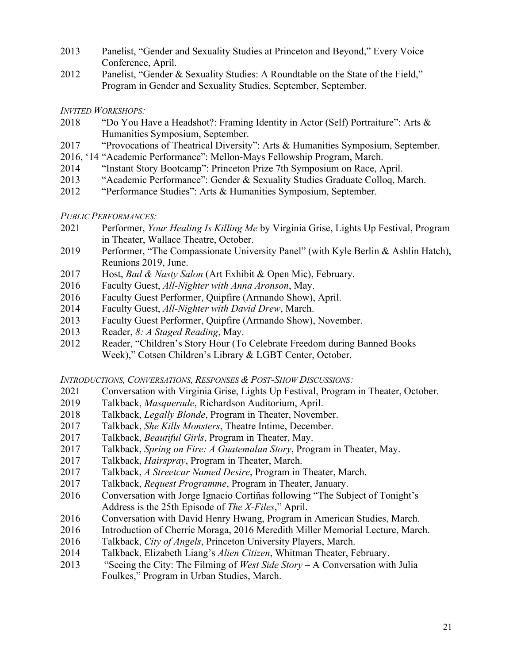- Panelist, "Gender and Sexuality Studies at Princeton and Beyond," Every Voice Conference, April.
- Panelist, "Gender & Sexuality Studies: A Roundtable on the State of the Field," Program in Gender and Sexuality Studies, September, September.

*INVITED WORKSHOPS:*

- "Do You Have a Headshot?: Framing Identity in Actor (Self) Portraiture": Arts & Humanities Symposium, September.
- "Provocations of Theatrical Diversity": Arts & Humanities Symposium, September.
- 2016, '14 "Academic Performance": Mellon-Mays Fellowship Program, March.
- "Instant Story Bootcamp": Princeton Prize 7th Symposium on Race, April.
- "Academic Performance": Gender & Sexuality Studies Graduate Colloq, March.
- "Performance Studies": Arts & Humanities Symposium, September.

*PUBLIC PERFORMANCES:*

- Performer, *Your Healing Is Killing Me* by Virginia Grise, Lights Up Festival, Program in Theater, Wallace Theatre, October.
- 2019 Performer, "The Compassionate University Panel" (with Kyle Berlin & Ashlin Hatch), Reunions 2019, June.
- Host, *Bad & Nasty Salon* (Art Exhibit & Open Mic), February.
- Faculty Guest, *All-Nighter with Anna Aronson*, May.
- Faculty Guest Performer, Quipfire (Armando Show), April.
- Faculty Guest, *All-Nighter with David Drew*, March.
- Faculty Guest Performer, Quipfire (Armando Show), November.
- Reader, *8: A Staged Reading*, May.
- Reader, "Children's Story Hour (To Celebrate Freedom during Banned Books Week)," Cotsen Children's Library & LGBT Center, October.

*INTRODUCTIONS, CONVERSATIONS, RESPONSES & POST-SHOW DISCUSSIONS:*

- Conversation with Virginia Grise, Lights Up Festival, Program in Theater, October.
- Talkback, *Masquerade*, Richardson Auditorium, April.
- Talkback, *Legally Blonde*, Program in Theater, November.
- Talkback, *She Kills Monsters*, Theatre Intime, December.
- Talkback, *Beautiful Girls*, Program in Theater, May.
- Talkback, *Spring on Fire: A Guatemalan Story*, Program in Theater, May.
- Talkback, *Hairspray*, Program in Theater, March.
- Talkback, *A Streetcar Named Desire*, Program in Theater, March.
- Talkback, *Request Programme*, Program in Theater, January.
- Conversation with Jorge Ignacio Cortiñas following "The Subject of Tonight's Address is the 25th Episode of *The X-Files*," April.
- Conversation with David Henry Hwang, Program in American Studies, March.
- Introduction of Cherríe Moraga, 2016 Meredith Miller Memorial Lecture, March.
- Talkback, *City of Angels*, Princeton University Players, March.
- Talkback, Elizabeth Liang's *Alien Citizen*, Whitman Theater, February.
- "Seeing the City: The Filming of *West Side Story* A Conversation with Julia Foulkes," Program in Urban Studies, March.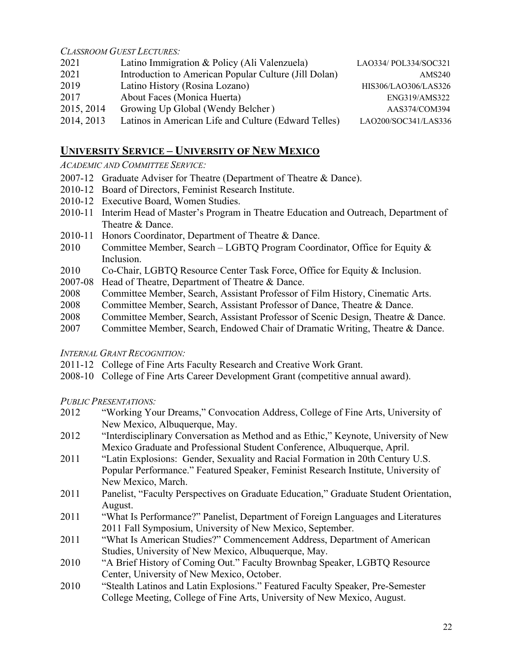*CLASSROOM GUEST LECTURES:*

| 2021       | Latino Immigration & Policy (Ali Valenzuela)          | LAO334/ POL334/SOC321 |
|------------|-------------------------------------------------------|-----------------------|
| 2021       | Introduction to American Popular Culture (Jill Dolan) | AMS240                |
| 2019       | Latino History (Rosina Lozano)                        | HIS306/LAO306/LAS326  |
| 2017       | About Faces (Monica Huerta)                           | ENG319/AMS322         |
| 2015, 2014 | Growing Up Global (Wendy Belcher)                     | AAS374/COM394         |
| 2014, 2013 | Latinos in American Life and Culture (Edward Telles)  | LAO200/SOC341/LAS336  |

# **UNIVERSITY SERVICE – UNIVERSITY OF NEW MEXICO**

*ACADEMIC AND COMMITTEE SERVICE:*

- 2007-12 Graduate Adviser for Theatre (Department of Theatre & Dance).
- 2010-12 Board of Directors, Feminist Research Institute.
- 2010-12 Executive Board, Women Studies.
- 2010-11 Interim Head of Master's Program in Theatre Education and Outreach, Department of Theatre & Dance.
- 2010-11 Honors Coordinator, Department of Theatre & Dance.
- 2010 Committee Member, Search LGBTQ Program Coordinator, Office for Equity & Inclusion.
- 2010 Co-Chair, LGBTQ Resource Center Task Force, Office for Equity & Inclusion.
- 2007-08 Head of Theatre, Department of Theatre & Dance.
- 2008 Committee Member, Search, Assistant Professor of Film History, Cinematic Arts.
- 2008 Committee Member, Search, Assistant Professor of Dance, Theatre & Dance.
- 2008 Committee Member, Search, Assistant Professor of Scenic Design, Theatre & Dance.
- 2007 Committee Member, Search, Endowed Chair of Dramatic Writing, Theatre & Dance.

### *INTERNAL GRANT RECOGNITION:*

- 2011-12 College of Fine Arts Faculty Research and Creative Work Grant.
- 2008-10 College of Fine Arts Career Development Grant (competitive annual award).

*PUBLIC PRESENTATIONS:*

- 2012 "Working Your Dreams," Convocation Address, College of Fine Arts, University of New Mexico, Albuquerque, May.
- 2012 "Interdisciplinary Conversation as Method and as Ethic," Keynote, University of New Mexico Graduate and Professional Student Conference, Albuquerque, April.
- 2011 "Latin Explosions: Gender, Sexuality and Racial Formation in 20th Century U.S. Popular Performance." Featured Speaker, Feminist Research Institute, University of New Mexico, March.
- 2011 Panelist, "Faculty Perspectives on Graduate Education," Graduate Student Orientation, August.
- 2011 "What Is Performance?" Panelist, Department of Foreign Languages and Literatures 2011 Fall Symposium, University of New Mexico, September.
- 2011 "What Is American Studies?" Commencement Address, Department of American Studies, University of New Mexico, Albuquerque, May.
- 2010 "A Brief History of Coming Out." Faculty Brownbag Speaker, LGBTQ Resource Center, University of New Mexico, October.
- 2010 "Stealth Latinos and Latin Explosions." Featured Faculty Speaker, Pre-Semester College Meeting, College of Fine Arts, University of New Mexico, August.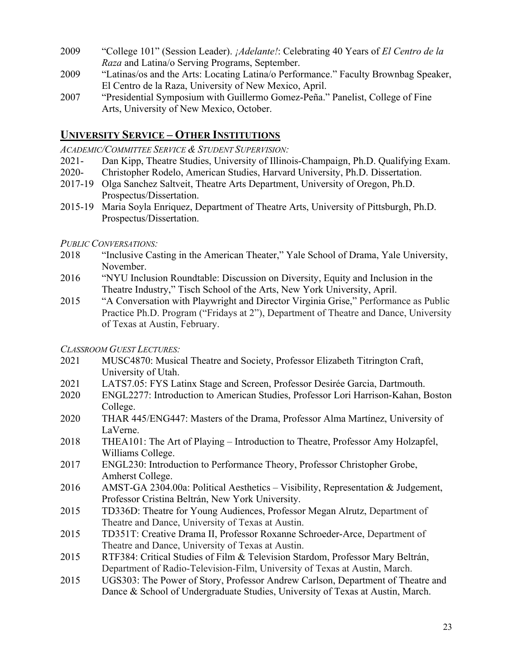- 2009 "College 101" (Session Leader). *¡Adelante!*: Celebrating 40 Years of *El Centro de la Raza* and Latina/o Serving Programs, September.
- 2009 "Latinas/os and the Arts: Locating Latina/o Performance." Faculty Brownbag Speaker, El Centro de la Raza, University of New Mexico, April.
- 2007 "Presidential Symposium with Guillermo Gomez-Peña." Panelist, College of Fine Arts, University of New Mexico, October.

# **UNIVERSITY SERVICE – OTHER INSTITUTIONS**

*ACADEMIC/COMMITTEE SERVICE & STUDENT SUPERVISION:*

- 2021- Dan Kipp, Theatre Studies, University of Illinois-Champaign, Ph.D. Qualifying Exam.
- 2020- Christopher Rodelo, American Studies, Harvard University, Ph.D. Dissertation.
- 2017-19 Olga Sanchez Saltveit, Theatre Arts Department, University of Oregon, Ph.D. Prospectus/Dissertation.
- 2015-19 Maria Soyla Enriquez, Department of Theatre Arts, University of Pittsburgh, Ph.D. Prospectus/Dissertation.

# *PUBLIC CONVERSATIONS:*

- 2018 "Inclusive Casting in the American Theater," Yale School of Drama, Yale University, November.
- 2016 "NYU Inclusion Roundtable: Discussion on Diversity, Equity and Inclusion in the Theatre Industry," Tisch School of the Arts, New York University, April.
- 2015 "A Conversation with Playwright and Director Virginia Grise," Performance as Public Practice Ph.D. Program ("Fridays at 2"), Department of Theatre and Dance, University of Texas at Austin, February.

### *CLASSROOM GUEST LECTURES:*

- 2021 MUSC4870: Musical Theatre and Society, Professor Elizabeth Titrington Craft, University of Utah.
- 2021 LATS7.05: FYS Latinx Stage and Screen, Professor Desirée Garcia, Dartmouth.
- 2020 ENGL2277: Introduction to American Studies, Professor Lori Harrison-Kahan, Boston College.
- 2020 THAR 445/ENG447: Masters of the Drama, Professor Alma Martínez, University of LaVerne.
- 2018 THEA101: The Art of Playing Introduction to Theatre, Professor Amy Holzapfel, Williams College.
- 2017 ENGL230: Introduction to Performance Theory, Professor Christopher Grobe, Amherst College.
- 2016 AMST-GA 2304.00a: Political Aesthetics Visibility, Representation & Judgement, Professor Cristina Beltrán, New York University.
- 2015 TD336D: Theatre for Young Audiences, Professor Megan Alrutz, Department of Theatre and Dance, University of Texas at Austin.
- 2015 TD351T: Creative Drama II, Professor Roxanne Schroeder-Arce, Department of Theatre and Dance, University of Texas at Austin.
- 2015 RTF384: Critical Studies of Film & Television Stardom, Professor Mary Beltrán, Department of Radio-Television-Film, University of Texas at Austin, March.
- 2015 UGS303: The Power of Story, Professor Andrew Carlson, Department of Theatre and Dance & School of Undergraduate Studies, University of Texas at Austin, March.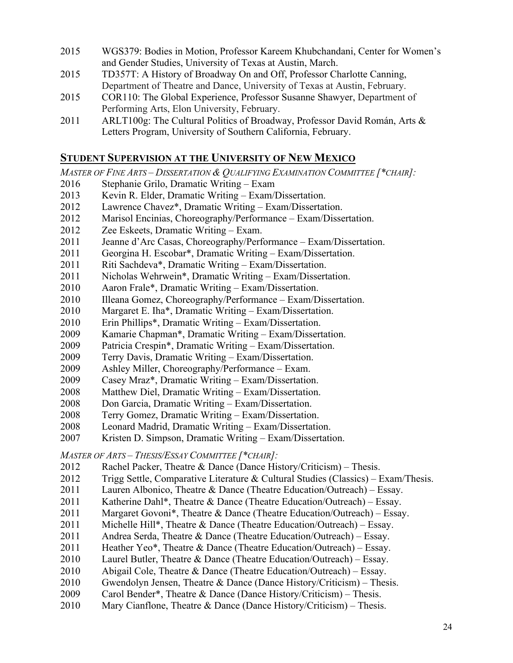- WGS379: Bodies in Motion, Professor Kareem Khubchandani, Center for Women's and Gender Studies, University of Texas at Austin, March.
- TD357T: A History of Broadway On and Off, Professor Charlotte Canning, Department of Theatre and Dance, University of Texas at Austin, February.
- COR110: The Global Experience, Professor Susanne Shawyer, Department of Performing Arts, Elon University, February.
- 2011 ARLT100g: The Cultural Politics of Broadway, Professor David Román, Arts & Letters Program, University of Southern California, February.

# **STUDENT SUPERVISION AT THE UNIVERSITY OF NEW MEXICO**

*MASTER OF FINE ARTS – DISSERTATION & QUALIFYING EXAMINATION COMMITTEE [\*CHAIR]:*

- Stephanie Grilo, Dramatic Writing Exam
- 2013 Kevin R. Elder, Dramatic Writing Exam/Dissertation.
- Lawrence Chavez\*, Dramatic Writing Exam/Dissertation.
- Marisol Encinias, Choreography/Performance Exam/Dissertation.
- Zee Eskeets, Dramatic Writing Exam.
- Jeanne d'Arc Casas, Choreography/Performance Exam/Dissertation.
- Georgina H. Escobar\*, Dramatic Writing Exam/Dissertation.
- Riti Sachdeva\*, Dramatic Writing Exam/Dissertation.
- Nicholas Wehrwein\*, Dramatic Writing Exam/Dissertation.
- Aaron Frale\*, Dramatic Writing Exam/Dissertation.
- 2010 Illeana Gomez, Choreography/Performance Exam/Dissertation.
- Margaret E. Iha\*, Dramatic Writing Exam/Dissertation.
- Erin Phillips\*, Dramatic Writing Exam/Dissertation.
- Kamarie Chapman\*, Dramatic Writing Exam/Dissertation.
- Patricia Crespin\*, Dramatic Writing Exam/Dissertation.
- Terry Davis, Dramatic Writing Exam/Dissertation.
- Ashley Miller, Choreography/Performance Exam.
- Casey Mraz\*, Dramatic Writing Exam/Dissertation.
- Matthew Diel, Dramatic Writing Exam/Dissertation.
- Don Garcia, Dramatic Writing Exam/Dissertation.
- Terry Gomez, Dramatic Writing Exam/Dissertation.
- Leonard Madrid, Dramatic Writing Exam/Dissertation.
- Kristen D. Simpson, Dramatic Writing Exam/Dissertation.

*MASTER OF ARTS – THESIS/ESSAY COMMITTEE [\*CHAIR]:*

- Rachel Packer, Theatre & Dance (Dance History/Criticism) Thesis.
- Trigg Settle, Comparative Literature & Cultural Studies (Classics) Exam/Thesis.
- Lauren Albonico, Theatre & Dance (Theatre Education/Outreach) Essay.
- Katherine Dahl\*, Theatre & Dance (Theatre Education/Outreach) Essay.
- 2011 Margaret Govoni<sup>\*</sup>, Theatre & Dance (Theatre Education/Outreach) Essay.
- 2011 Michelle Hill\*, Theatre & Dance (Theatre Education/Outreach) Essay.
- Andrea Serda, Theatre & Dance (Theatre Education/Outreach) Essay.
- Heather Yeo\*, Theatre & Dance (Theatre Education/Outreach) Essay.
- Laurel Butler, Theatre & Dance (Theatre Education/Outreach) Essay.
- Abigail Cole, Theatre & Dance (Theatre Education/Outreach) Essay.
- Gwendolyn Jensen, Theatre & Dance (Dance History/Criticism) Thesis.
- Carol Bender\*, Theatre & Dance (Dance History/Criticism) Thesis.
- 2010 Mary Cianflone, Theatre & Dance (Dance History/Criticism) Thesis.